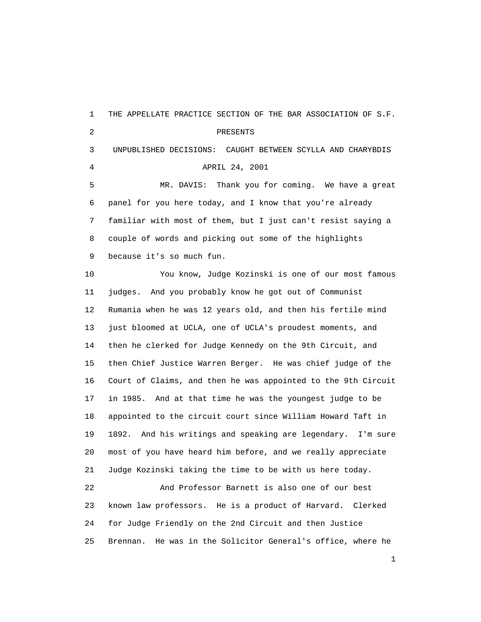1 THE APPELLATE PRACTICE SECTION OF THE BAR ASSOCIATION OF S.F. 2 PRESENTS 3 UNPUBLISHED DECISIONS: CAUGHT BETWEEN SCYLLA AND CHARYBDIS 4 APRIL 24, 2001 5 MR. DAVIS: Thank you for coming. We have a great 6 panel for you here today, and I know that you're already 7 familiar with most of them, but I just can't resist saying a 8 couple of words and picking out some of the highlights 9 because it's so much fun. 10 You know, Judge Kozinski is one of our most famous 11 judges. And you probably know he got out of Communist 12 Rumania when he was 12 years old, and then his fertile mind 13 just bloomed at UCLA, one of UCLA's proudest moments, and 14 then he clerked for Judge Kennedy on the 9th Circuit, and 15 then Chief Justice Warren Berger. He was chief judge of the 16 Court of Claims, and then he was appointed to the 9th Circuit 17 in 1985. And at that time he was the youngest judge to be 18 appointed to the circuit court since William Howard Taft in 19 1892. And his writings and speaking are legendary. I'm sure 20 most of you have heard him before, and we really appreciate 21 Judge Kozinski taking the time to be with us here today. 22 And Professor Barnett is also one of our best 23 known law professors. He is a product of Harvard. Clerked 24 for Judge Friendly on the 2nd Circuit and then Justice 25 Brennan. He was in the Solicitor General's office, where he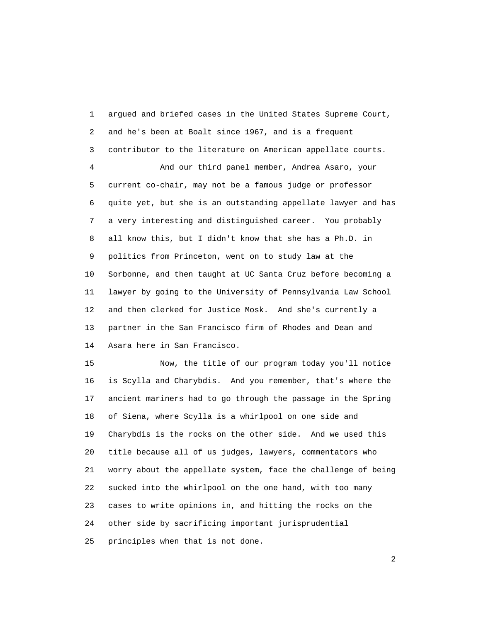1 argued and briefed cases in the United States Supreme Court, 2 and he's been at Boalt since 1967, and is a frequent 3 contributor to the literature on American appellate courts.

 4 And our third panel member, Andrea Asaro, your 5 current co-chair, may not be a famous judge or professor 6 quite yet, but she is an outstanding appellate lawyer and has 7 a very interesting and distinguished career. You probably 8 all know this, but I didn't know that she has a Ph.D. in 9 politics from Princeton, went on to study law at the 10 Sorbonne, and then taught at UC Santa Cruz before becoming a 11 lawyer by going to the University of Pennsylvania Law School 12 and then clerked for Justice Mosk. And she's currently a 13 partner in the San Francisco firm of Rhodes and Dean and 14 Asara here in San Francisco.

 15 Now, the title of our program today you'll notice 16 is Scylla and Charybdis. And you remember, that's where the 17 ancient mariners had to go through the passage in the Spring 18 of Siena, where Scylla is a whirlpool on one side and 19 Charybdis is the rocks on the other side. And we used this 20 title because all of us judges, lawyers, commentators who 21 worry about the appellate system, face the challenge of being 22 sucked into the whirlpool on the one hand, with too many 23 cases to write opinions in, and hitting the rocks on the 24 other side by sacrificing important jurisprudential 25 principles when that is not done.

 $\overline{2}$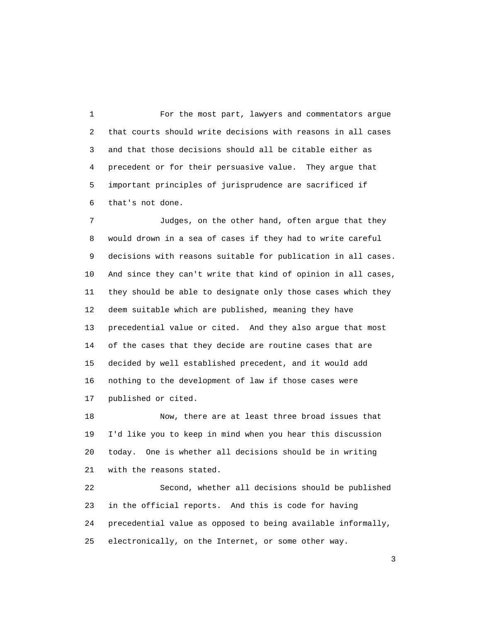1 For the most part, lawyers and commentators argue 2 that courts should write decisions with reasons in all cases 3 and that those decisions should all be citable either as 4 precedent or for their persuasive value. They argue that 5 important principles of jurisprudence are sacrificed if 6 that's not done.

 7 Judges, on the other hand, often argue that they 8 would drown in a sea of cases if they had to write careful 9 decisions with reasons suitable for publication in all cases. 10 And since they can't write that kind of opinion in all cases, 11 they should be able to designate only those cases which they 12 deem suitable which are published, meaning they have 13 precedential value or cited. And they also argue that most 14 of the cases that they decide are routine cases that are 15 decided by well established precedent, and it would add 16 nothing to the development of law if those cases were 17 published or cited.

 18 Now, there are at least three broad issues that 19 I'd like you to keep in mind when you hear this discussion 20 today. One is whether all decisions should be in writing 21 with the reasons stated.

 22 Second, whether all decisions should be published 23 in the official reports. And this is code for having 24 precedential value as opposed to being available informally, 25 electronically, on the Internet, or some other way.

 $\sim$  3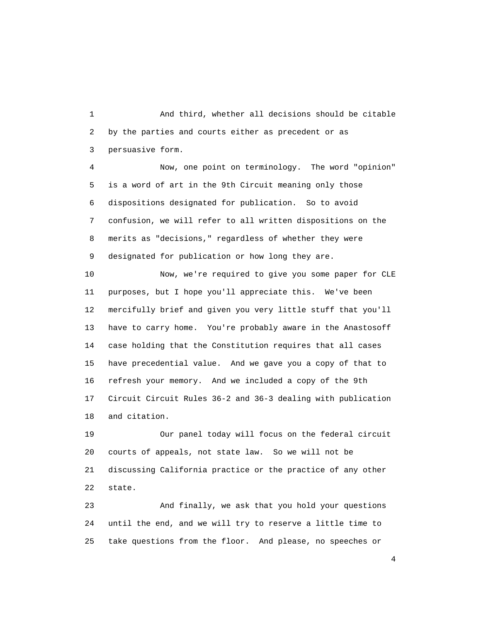1 And third, whether all decisions should be citable 2 by the parties and courts either as precedent or as 3 persuasive form.

 4 Now, one point on terminology. The word "opinion" 5 is a word of art in the 9th Circuit meaning only those 6 dispositions designated for publication. So to avoid 7 confusion, we will refer to all written dispositions on the 8 merits as "decisions," regardless of whether they were 9 designated for publication or how long they are.

 10 Now, we're required to give you some paper for CLE 11 purposes, but I hope you'll appreciate this. We've been 12 mercifully brief and given you very little stuff that you'll 13 have to carry home. You're probably aware in the Anastosoff 14 case holding that the Constitution requires that all cases 15 have precedential value. And we gave you a copy of that to 16 refresh your memory. And we included a copy of the 9th 17 Circuit Circuit Rules 36-2 and 36-3 dealing with publication 18 and citation.

 19 Our panel today will focus on the federal circuit 20 courts of appeals, not state law. So we will not be 21 discussing California practice or the practice of any other 22 state.

 23 And finally, we ask that you hold your questions 24 until the end, and we will try to reserve a little time to 25 take questions from the floor. And please, no speeches or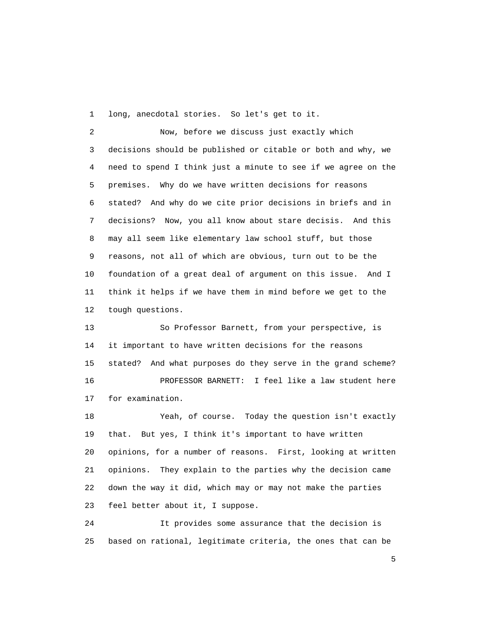1 long, anecdotal stories. So let's get to it.

 2 Now, before we discuss just exactly which 3 decisions should be published or citable or both and why, we 4 need to spend I think just a minute to see if we agree on the 5 premises. Why do we have written decisions for reasons 6 stated? And why do we cite prior decisions in briefs and in 7 decisions? Now, you all know about stare decisis. And this 8 may all seem like elementary law school stuff, but those 9 reasons, not all of which are obvious, turn out to be the 10 foundation of a great deal of argument on this issue. And I 11 think it helps if we have them in mind before we get to the 12 tough questions.

 13 So Professor Barnett, from your perspective, is 14 it important to have written decisions for the reasons 15 stated? And what purposes do they serve in the grand scheme? 16 PROFESSOR BARNETT: I feel like a law student here 17 for examination.

 18 Yeah, of course. Today the question isn't exactly 19 that. But yes, I think it's important to have written 20 opinions, for a number of reasons. First, looking at written 21 opinions. They explain to the parties why the decision came 22 down the way it did, which may or may not make the parties 23 feel better about it, I suppose.

 24 It provides some assurance that the decision is 25 based on rational, legitimate criteria, the ones that can be

 $\sim$  5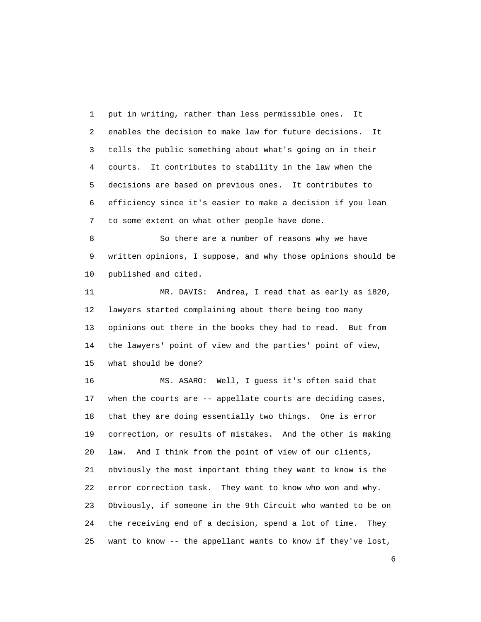1 put in writing, rather than less permissible ones. It 2 enables the decision to make law for future decisions. It 3 tells the public something about what's going on in their 4 courts. It contributes to stability in the law when the 5 decisions are based on previous ones. It contributes to 6 efficiency since it's easier to make a decision if you lean 7 to some extent on what other people have done.

 8 So there are a number of reasons why we have 9 written opinions, I suppose, and why those opinions should be 10 published and cited.

 11 MR. DAVIS: Andrea, I read that as early as 1820, 12 lawyers started complaining about there being too many 13 opinions out there in the books they had to read. But from 14 the lawyers' point of view and the parties' point of view, 15 what should be done?

 16 MS. ASARO: Well, I guess it's often said that 17 when the courts are -- appellate courts are deciding cases, 18 that they are doing essentially two things. One is error 19 correction, or results of mistakes. And the other is making 20 law. And I think from the point of view of our clients, 21 obviously the most important thing they want to know is the 22 error correction task. They want to know who won and why. 23 Obviously, if someone in the 9th Circuit who wanted to be on 24 the receiving end of a decision, spend a lot of time. They 25 want to know -- the appellant wants to know if they've lost,

 $\sim$  6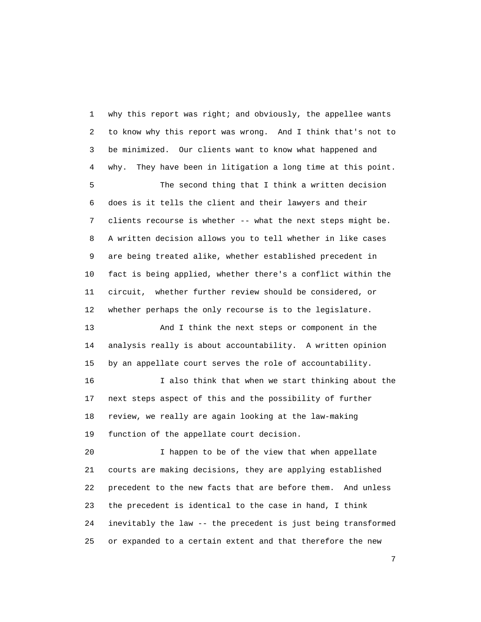1 why this report was right; and obviously, the appellee wants 2 to know why this report was wrong. And I think that's not to 3 be minimized. Our clients want to know what happened and 4 why. They have been in litigation a long time at this point.

 5 The second thing that I think a written decision 6 does is it tells the client and their lawyers and their 7 clients recourse is whether -- what the next steps might be. 8 A written decision allows you to tell whether in like cases 9 are being treated alike, whether established precedent in 10 fact is being applied, whether there's a conflict within the 11 circuit, whether further review should be considered, or 12 whether perhaps the only recourse is to the legislature.

 13 And I think the next steps or component in the 14 analysis really is about accountability. A written opinion 15 by an appellate court serves the role of accountability.

 16 I also think that when we start thinking about the 17 next steps aspect of this and the possibility of further 18 review, we really are again looking at the law-making 19 function of the appellate court decision.

 20 I happen to be of the view that when appellate 21 courts are making decisions, they are applying established 22 precedent to the new facts that are before them. And unless 23 the precedent is identical to the case in hand, I think 24 inevitably the law -- the precedent is just being transformed 25 or expanded to a certain extent and that therefore the new

<u>2</u>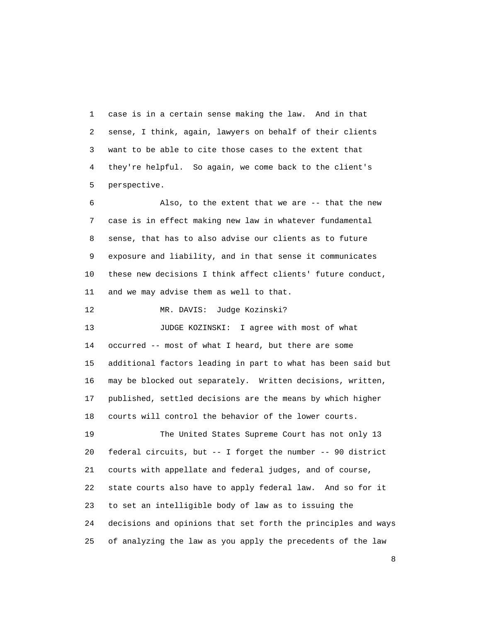1 case is in a certain sense making the law. And in that 2 sense, I think, again, lawyers on behalf of their clients 3 want to be able to cite those cases to the extent that 4 they're helpful. So again, we come back to the client's 5 perspective.

 6 Also, to the extent that we are -- that the new 7 case is in effect making new law in whatever fundamental 8 sense, that has to also advise our clients as to future 9 exposure and liability, and in that sense it communicates 10 these new decisions I think affect clients' future conduct, 11 and we may advise them as well to that.

12 MR. DAVIS: Judge Kozinski?

13 JUDGE KOZINSKI: I agree with most of what 14 occurred -- most of what I heard, but there are some 15 additional factors leading in part to what has been said but 16 may be blocked out separately. Written decisions, written, 17 published, settled decisions are the means by which higher 18 courts will control the behavior of the lower courts.

 19 The United States Supreme Court has not only 13 20 federal circuits, but -- I forget the number -- 90 district 21 courts with appellate and federal judges, and of course, 22 state courts also have to apply federal law. And so for it 23 to set an intelligible body of law as to issuing the 24 decisions and opinions that set forth the principles and ways 25 of analyzing the law as you apply the precedents of the law

en andere de la provincia de la provincia de la provincia de la provincia de la provincia de la provincia del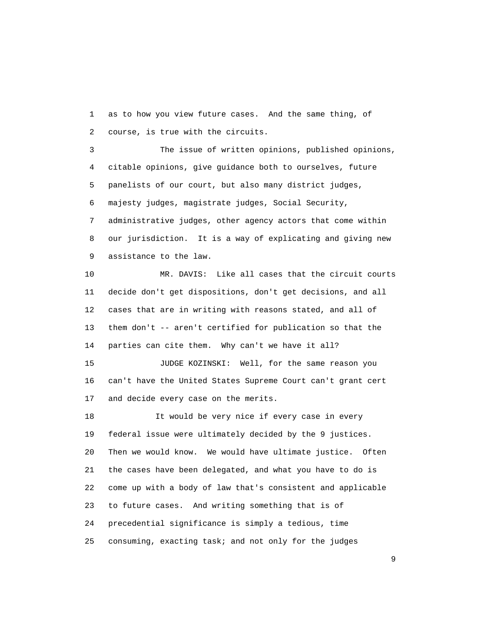1 as to how you view future cases. And the same thing, of 2 course, is true with the circuits.

 3 The issue of written opinions, published opinions, 4 citable opinions, give guidance both to ourselves, future 5 panelists of our court, but also many district judges, 6 majesty judges, magistrate judges, Social Security, 7 administrative judges, other agency actors that come within 8 our jurisdiction. It is a way of explicating and giving new 9 assistance to the law.

 10 MR. DAVIS: Like all cases that the circuit courts 11 decide don't get dispositions, don't get decisions, and all 12 cases that are in writing with reasons stated, and all of 13 them don't -- aren't certified for publication so that the 14 parties can cite them. Why can't we have it all?

 15 JUDGE KOZINSKI: Well, for the same reason you 16 can't have the United States Supreme Court can't grant cert 17 and decide every case on the merits.

18 18 It would be very nice if every case in every 19 federal issue were ultimately decided by the 9 justices. 20 Then we would know. We would have ultimate justice. Often 21 the cases have been delegated, and what you have to do is 22 come up with a body of law that's consistent and applicable 23 to future cases. And writing something that is of 24 precedential significance is simply a tedious, time 25 consuming, exacting task; and not only for the judges

en de la construction de la construction de la construction de la construction de la construction de la constr<br>1911 : la construction de la construction de la construction de la construction de la construction de la const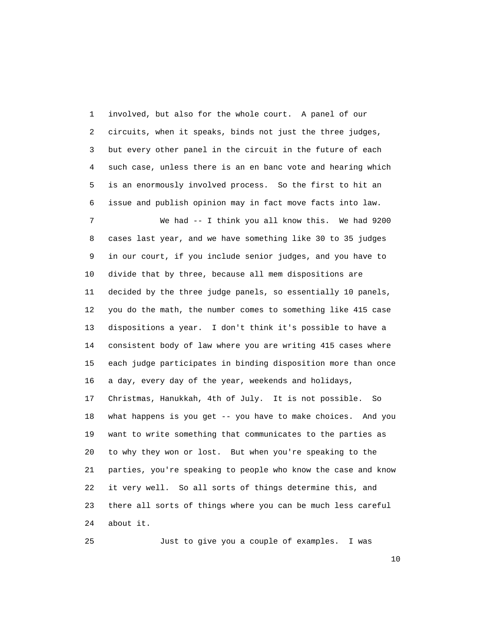1 involved, but also for the whole court. A panel of our 2 circuits, when it speaks, binds not just the three judges, 3 but every other panel in the circuit in the future of each 4 such case, unless there is an en banc vote and hearing which 5 is an enormously involved process. So the first to hit an 6 issue and publish opinion may in fact move facts into law. 7 We had -- I think you all know this. We had 9200 8 cases last year, and we have something like 30 to 35 judges 9 in our court, if you include senior judges, and you have to 10 divide that by three, because all mem dispositions are 11 decided by the three judge panels, so essentially 10 panels, 12 you do the math, the number comes to something like 415 case 13 dispositions a year. I don't think it's possible to have a 14 consistent body of law where you are writing 415 cases where

 15 each judge participates in binding disposition more than once 16 a day, every day of the year, weekends and holidays, 17 Christmas, Hanukkah, 4th of July. It is not possible. So 18 what happens is you get -- you have to make choices. And you 19 want to write something that communicates to the parties as 20 to why they won or lost. But when you're speaking to the 21 parties, you're speaking to people who know the case and know 22 it very well. So all sorts of things determine this, and

 23 there all sorts of things where you can be much less careful 24 about it.

25 Just to give you a couple of examples. I was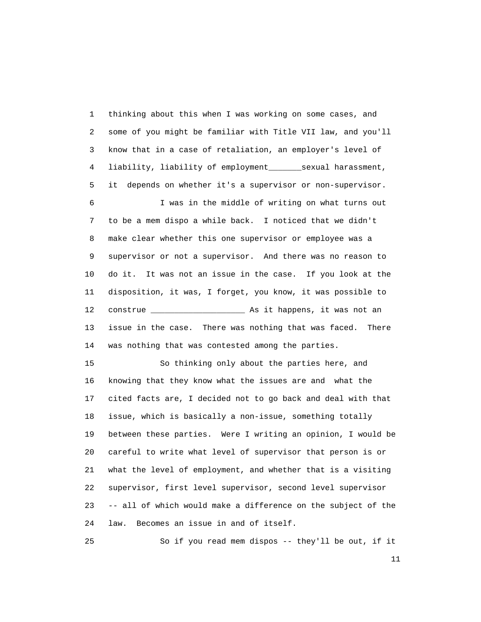1 thinking about this when I was working on some cases, and 2 some of you might be familiar with Title VII law, and you'll 3 know that in a case of retaliation, an employer's level of 4 liability, liability of employment\_\_\_\_\_\_\_sexual harassment, 5 it depends on whether it's a supervisor or non-supervisor. 6 I was in the middle of writing on what turns out 7 to be a mem dispo a while back. I noticed that we didn't 8 make clear whether this one supervisor or employee was a 9 supervisor or not a supervisor. And there was no reason to 10 do it. It was not an issue in the case. If you look at the 11 disposition, it was, I forget, you know, it was possible to 12 construe \_\_\_\_\_\_\_\_\_\_\_\_\_\_\_\_\_\_\_\_ As it happens, it was not an 13 issue in the case. There was nothing that was faced. There 14 was nothing that was contested among the parties.

 15 So thinking only about the parties here, and 16 knowing that they know what the issues are and what the 17 cited facts are, I decided not to go back and deal with that 18 issue, which is basically a non-issue, something totally 19 between these parties. Were I writing an opinion, I would be 20 careful to write what level of supervisor that person is or 21 what the level of employment, and whether that is a visiting 22 supervisor, first level supervisor, second level supervisor 23 -- all of which would make a difference on the subject of the 24 law. Becomes an issue in and of itself.

25 So if you read mem dispos -- they'll be out, if it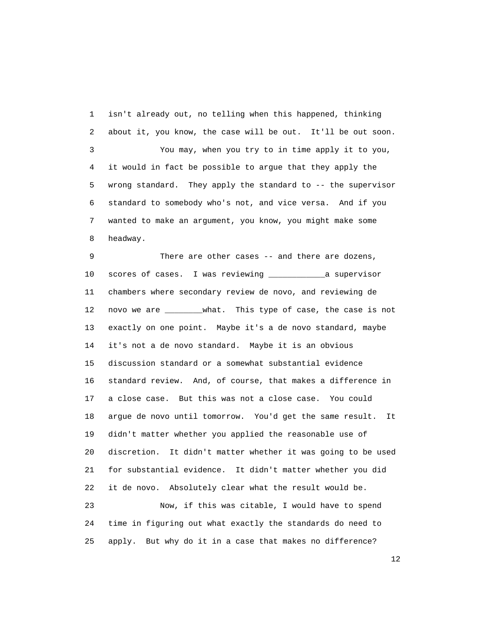1 isn't already out, no telling when this happened, thinking 2 about it, you know, the case will be out. It'll be out soon. 3 You may, when you try to in time apply it to you, 4 it would in fact be possible to argue that they apply the 5 wrong standard. They apply the standard to -- the supervisor 6 standard to somebody who's not, and vice versa. And if you 7 wanted to make an argument, you know, you might make some 8 headway.

 9 There are other cases -- and there are dozens, 10 scores of cases. I was reviewing \_\_\_\_\_\_\_\_\_\_\_\_a supervisor 11 chambers where secondary review de novo, and reviewing de 12 novo we are \_\_\_\_\_\_\_\_what. This type of case, the case is not 13 exactly on one point. Maybe it's a de novo standard, maybe 14 it's not a de novo standard. Maybe it is an obvious 15 discussion standard or a somewhat substantial evidence 16 standard review. And, of course, that makes a difference in 17 a close case. But this was not a close case. You could 18 argue de novo until tomorrow. You'd get the same result. It 19 didn't matter whether you applied the reasonable use of 20 discretion. It didn't matter whether it was going to be used 21 for substantial evidence. It didn't matter whether you did 22 it de novo. Absolutely clear what the result would be. 23 Now, if this was citable, I would have to spend 24 time in figuring out what exactly the standards do need to 25 apply. But why do it in a case that makes no difference?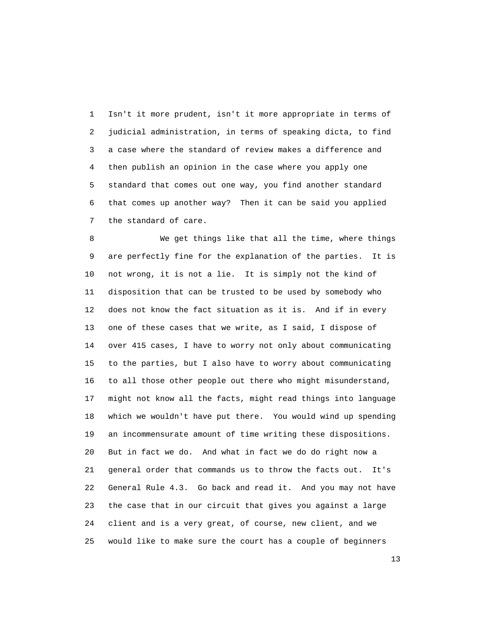1 Isn't it more prudent, isn't it more appropriate in terms of 2 judicial administration, in terms of speaking dicta, to find 3 a case where the standard of review makes a difference and 4 then publish an opinion in the case where you apply one 5 standard that comes out one way, you find another standard 6 that comes up another way? Then it can be said you applied 7 the standard of care.

 8 We get things like that all the time, where things 9 are perfectly fine for the explanation of the parties. It is 10 not wrong, it is not a lie. It is simply not the kind of 11 disposition that can be trusted to be used by somebody who 12 does not know the fact situation as it is. And if in every 13 one of these cases that we write, as I said, I dispose of 14 over 415 cases, I have to worry not only about communicating 15 to the parties, but I also have to worry about communicating 16 to all those other people out there who might misunderstand, 17 might not know all the facts, might read things into language 18 which we wouldn't have put there. You would wind up spending 19 an incommensurate amount of time writing these dispositions. 20 But in fact we do. And what in fact we do do right now a 21 general order that commands us to throw the facts out. It's 22 General Rule 4.3. Go back and read it. And you may not have 23 the case that in our circuit that gives you against a large 24 client and is a very great, of course, new client, and we 25 would like to make sure the court has a couple of beginners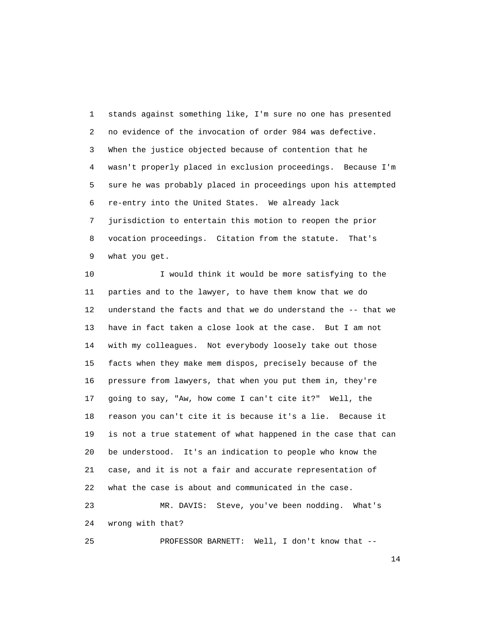1 stands against something like, I'm sure no one has presented 2 no evidence of the invocation of order 984 was defective. 3 When the justice objected because of contention that he 4 wasn't properly placed in exclusion proceedings. Because I'm 5 sure he was probably placed in proceedings upon his attempted 6 re-entry into the United States. We already lack 7 jurisdiction to entertain this motion to reopen the prior 8 vocation proceedings. Citation from the statute. That's 9 what you get.

 10 I would think it would be more satisfying to the 11 parties and to the lawyer, to have them know that we do 12 understand the facts and that we do understand the -- that we 13 have in fact taken a close look at the case. But I am not 14 with my colleagues. Not everybody loosely take out those 15 facts when they make mem dispos, precisely because of the 16 pressure from lawyers, that when you put them in, they're 17 going to say, "Aw, how come I can't cite it?" Well, the 18 reason you can't cite it is because it's a lie. Because it 19 is not a true statement of what happened in the case that can 20 be understood. It's an indication to people who know the 21 case, and it is not a fair and accurate representation of 22 what the case is about and communicated in the case. 23 MR. DAVIS: Steve, you've been nodding. What's 24 wrong with that?

25 PROFESSOR BARNETT: Well, I don't know that --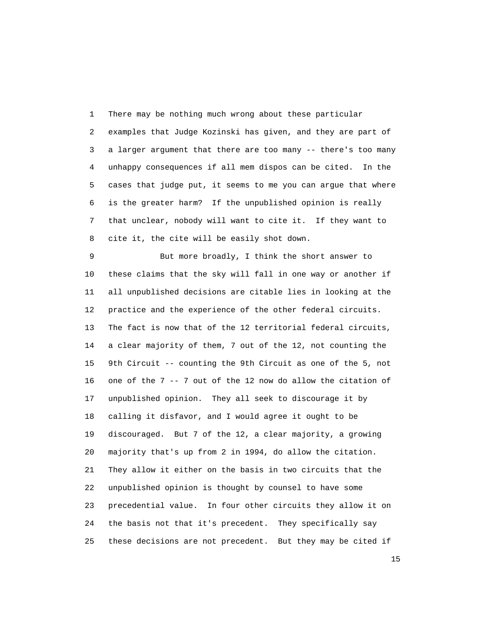1 There may be nothing much wrong about these particular 2 examples that Judge Kozinski has given, and they are part of 3 a larger argument that there are too many -- there's too many 4 unhappy consequences if all mem dispos can be cited. In the 5 cases that judge put, it seems to me you can argue that where 6 is the greater harm? If the unpublished opinion is really 7 that unclear, nobody will want to cite it. If they want to 8 cite it, the cite will be easily shot down.

 9 But more broadly, I think the short answer to 10 these claims that the sky will fall in one way or another if 11 all unpublished decisions are citable lies in looking at the 12 practice and the experience of the other federal circuits. 13 The fact is now that of the 12 territorial federal circuits, 14 a clear majority of them, 7 out of the 12, not counting the 15 9th Circuit -- counting the 9th Circuit as one of the 5, not 16 one of the 7 -- 7 out of the 12 now do allow the citation of 17 unpublished opinion. They all seek to discourage it by 18 calling it disfavor, and I would agree it ought to be 19 discouraged. But 7 of the 12, a clear majority, a growing 20 majority that's up from 2 in 1994, do allow the citation. 21 They allow it either on the basis in two circuits that the 22 unpublished opinion is thought by counsel to have some 23 precedential value. In four other circuits they allow it on 24 the basis not that it's precedent. They specifically say 25 these decisions are not precedent. But they may be cited if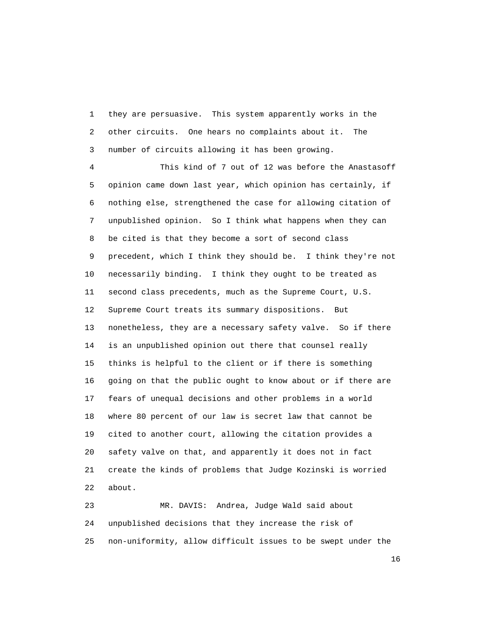1 they are persuasive. This system apparently works in the 2 other circuits. One hears no complaints about it. The 3 number of circuits allowing it has been growing.

 4 This kind of 7 out of 12 was before the Anastasoff 5 opinion came down last year, which opinion has certainly, if 6 nothing else, strengthened the case for allowing citation of 7 unpublished opinion. So I think what happens when they can 8 be cited is that they become a sort of second class 9 precedent, which I think they should be. I think they're not 10 necessarily binding. I think they ought to be treated as 11 second class precedents, much as the Supreme Court, U.S. 12 Supreme Court treats its summary dispositions. But 13 nonetheless, they are a necessary safety valve. So if there 14 is an unpublished opinion out there that counsel really 15 thinks is helpful to the client or if there is something 16 going on that the public ought to know about or if there are 17 fears of unequal decisions and other problems in a world 18 where 80 percent of our law is secret law that cannot be 19 cited to another court, allowing the citation provides a 20 safety valve on that, and apparently it does not in fact 21 create the kinds of problems that Judge Kozinski is worried 22 about.

 23 MR. DAVIS: Andrea, Judge Wald said about 24 unpublished decisions that they increase the risk of 25 non-uniformity, allow difficult issues to be swept under the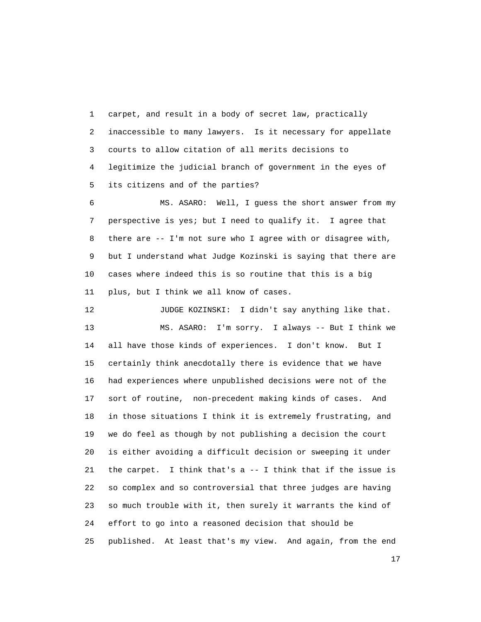1 carpet, and result in a body of secret law, practically 2 inaccessible to many lawyers. Is it necessary for appellate 3 courts to allow citation of all merits decisions to 4 legitimize the judicial branch of government in the eyes of 5 its citizens and of the parties?

 6 MS. ASARO: Well, I guess the short answer from my 7 perspective is yes; but I need to qualify it. I agree that 8 there are -- I'm not sure who I agree with or disagree with, 9 but I understand what Judge Kozinski is saying that there are 10 cases where indeed this is so routine that this is a big 11 plus, but I think we all know of cases.

12 JUDGE KOZINSKI: I didn't say anything like that. 13 MS. ASARO: I'm sorry. I always -- But I think we 14 all have those kinds of experiences. I don't know. But I 15 certainly think anecdotally there is evidence that we have 16 had experiences where unpublished decisions were not of the 17 sort of routine, non-precedent making kinds of cases. And 18 in those situations I think it is extremely frustrating, and 19 we do feel as though by not publishing a decision the court 20 is either avoiding a difficult decision or sweeping it under 21 the carpet. I think that's a -- I think that if the issue is 22 so complex and so controversial that three judges are having 23 so much trouble with it, then surely it warrants the kind of 24 effort to go into a reasoned decision that should be 25 published. At least that's my view. And again, from the end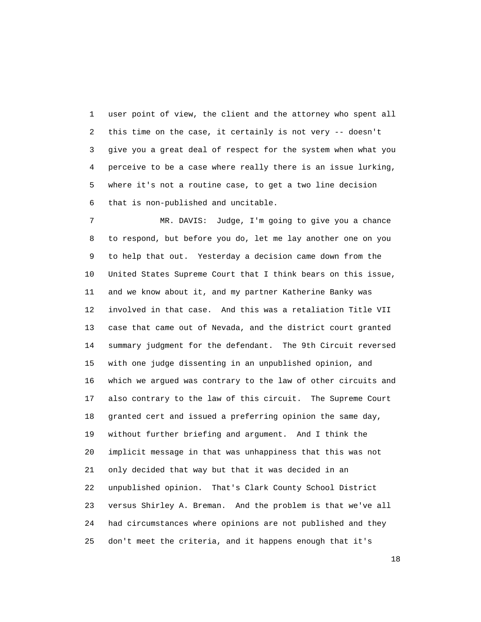1 user point of view, the client and the attorney who spent all 2 this time on the case, it certainly is not very -- doesn't 3 give you a great deal of respect for the system when what you 4 perceive to be a case where really there is an issue lurking, 5 where it's not a routine case, to get a two line decision 6 that is non-published and uncitable.

 7 MR. DAVIS: Judge, I'm going to give you a chance 8 to respond, but before you do, let me lay another one on you 9 to help that out. Yesterday a decision came down from the 10 United States Supreme Court that I think bears on this issue, 11 and we know about it, and my partner Katherine Banky was 12 involved in that case. And this was a retaliation Title VII 13 case that came out of Nevada, and the district court granted 14 summary judgment for the defendant. The 9th Circuit reversed 15 with one judge dissenting in an unpublished opinion, and 16 which we argued was contrary to the law of other circuits and 17 also contrary to the law of this circuit. The Supreme Court 18 granted cert and issued a preferring opinion the same day, 19 without further briefing and argument. And I think the 20 implicit message in that was unhappiness that this was not 21 only decided that way but that it was decided in an 22 unpublished opinion. That's Clark County School District 23 versus Shirley A. Breman. And the problem is that we've all 24 had circumstances where opinions are not published and they 25 don't meet the criteria, and it happens enough that it's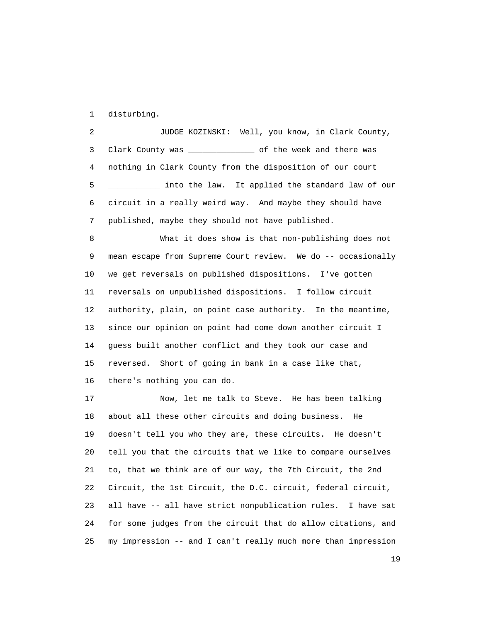1 disturbing.

 2 JUDGE KOZINSKI: Well, you know, in Clark County, 3 Clark County was \_\_\_\_\_\_\_\_\_\_\_\_\_\_ of the week and there was 4 nothing in Clark County from the disposition of our court 5 \_\_\_\_\_\_\_\_\_\_\_ into the law. It applied the standard law of our 6 circuit in a really weird way. And maybe they should have 7 published, maybe they should not have published.

 8 What it does show is that non-publishing does not 9 mean escape from Supreme Court review. We do -- occasionally 10 we get reversals on published dispositions. I've gotten 11 reversals on unpublished dispositions. I follow circuit 12 authority, plain, on point case authority. In the meantime, 13 since our opinion on point had come down another circuit I 14 guess built another conflict and they took our case and 15 reversed. Short of going in bank in a case like that, 16 there's nothing you can do.

 17 Now, let me talk to Steve. He has been talking 18 about all these other circuits and doing business. He 19 doesn't tell you who they are, these circuits. He doesn't 20 tell you that the circuits that we like to compare ourselves 21 to, that we think are of our way, the 7th Circuit, the 2nd 22 Circuit, the 1st Circuit, the D.C. circuit, federal circuit, 23 all have -- all have strict nonpublication rules. I have sat 24 for some judges from the circuit that do allow citations, and 25 my impression -- and I can't really much more than impression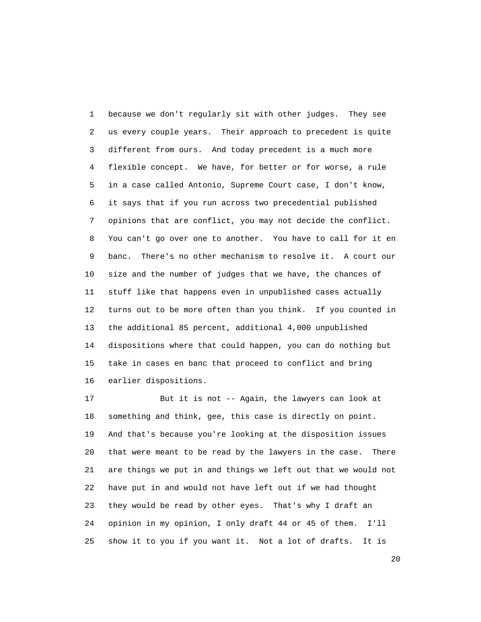1 because we don't regularly sit with other judges. They see 2 us every couple years. Their approach to precedent is quite 3 different from ours. And today precedent is a much more 4 flexible concept. We have, for better or for worse, a rule 5 in a case called Antonio, Supreme Court case, I don't know, 6 it says that if you run across two precedential published 7 opinions that are conflict, you may not decide the conflict. 8 You can't go over one to another. You have to call for it en 9 banc. There's no other mechanism to resolve it. A court our 10 size and the number of judges that we have, the chances of 11 stuff like that happens even in unpublished cases actually 12 turns out to be more often than you think. If you counted in 13 the additional 85 percent, additional 4,000 unpublished 14 dispositions where that could happen, you can do nothing but 15 take in cases en banc that proceed to conflict and bring 16 earlier dispositions.

 17 But it is not -- Again, the lawyers can look at 18 something and think, gee, this case is directly on point. 19 And that's because you're looking at the disposition issues 20 that were meant to be read by the lawyers in the case. There 21 are things we put in and things we left out that we would not 22 have put in and would not have left out if we had thought 23 they would be read by other eyes. That's why I draft an 24 opinion in my opinion, I only draft 44 or 45 of them. I'll 25 show it to you if you want it. Not a lot of drafts. It is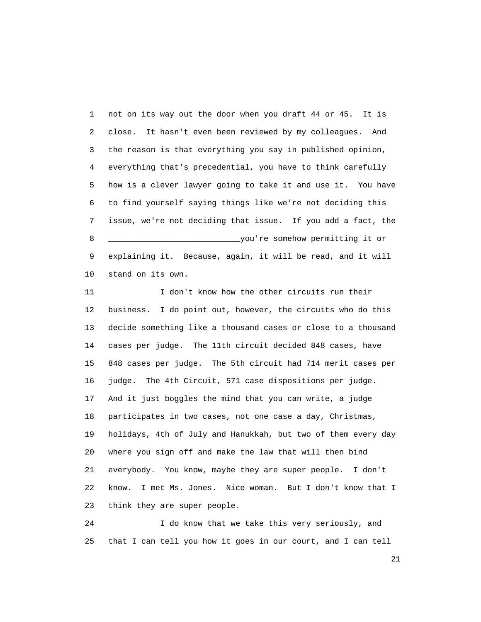1 not on its way out the door when you draft 44 or 45. It is 2 close. It hasn't even been reviewed by my colleagues. And 3 the reason is that everything you say in published opinion, 4 everything that's precedential, you have to think carefully 5 how is a clever lawyer going to take it and use it. You have 6 to find yourself saying things like we're not deciding this 7 issue, we're not deciding that issue. If you add a fact, the 8 \_\_\_\_\_\_\_\_\_\_\_\_\_\_\_\_\_\_\_\_\_\_\_\_\_\_\_\_you're somehow permitting it or 9 explaining it. Because, again, it will be read, and it will 10 stand on its own.

 11 I don't know how the other circuits run their 12 business. I do point out, however, the circuits who do this 13 decide something like a thousand cases or close to a thousand 14 cases per judge. The 11th circuit decided 848 cases, have 15 848 cases per judge. The 5th circuit had 714 merit cases per 16 judge. The 4th Circuit, 571 case dispositions per judge. 17 And it just boggles the mind that you can write, a judge 18 participates in two cases, not one case a day, Christmas, 19 holidays, 4th of July and Hanukkah, but two of them every day 20 where you sign off and make the law that will then bind 21 everybody. You know, maybe they are super people. I don't 22 know. I met Ms. Jones. Nice woman. But I don't know that I 23 think they are super people.

 24 I do know that we take this very seriously, and 25 that I can tell you how it goes in our court, and I can tell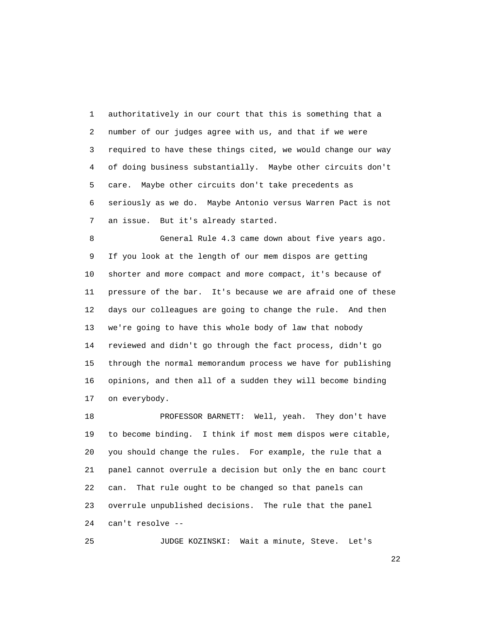1 authoritatively in our court that this is something that a 2 number of our judges agree with us, and that if we were 3 required to have these things cited, we would change our way 4 of doing business substantially. Maybe other circuits don't 5 care. Maybe other circuits don't take precedents as 6 seriously as we do. Maybe Antonio versus Warren Pact is not 7 an issue. But it's already started.

 8 General Rule 4.3 came down about five years ago. 9 If you look at the length of our mem dispos are getting 10 shorter and more compact and more compact, it's because of 11 pressure of the bar. It's because we are afraid one of these 12 days our colleagues are going to change the rule. And then 13 we're going to have this whole body of law that nobody 14 reviewed and didn't go through the fact process, didn't go 15 through the normal memorandum process we have for publishing 16 opinions, and then all of a sudden they will become binding 17 on everybody.

 18 PROFESSOR BARNETT: Well, yeah. They don't have 19 to become binding. I think if most mem dispos were citable, 20 you should change the rules. For example, the rule that a 21 panel cannot overrule a decision but only the en banc court 22 can. That rule ought to be changed so that panels can 23 overrule unpublished decisions. The rule that the panel 24 can't resolve --

25 JUDGE KOZINSKI: Wait a minute, Steve. Let's

22 and 23 and 23 and 23 and 23 and 23 and 23 and 23 and 23 and 23 and 23 and 23 and 23 and 23 and 23 and 23 and 24 and 25 and 26 and 26 and 27 and 27 and 27 and 27 and 27 and 27 and 27 and 27 and 27 and 27 and 27 and 27 an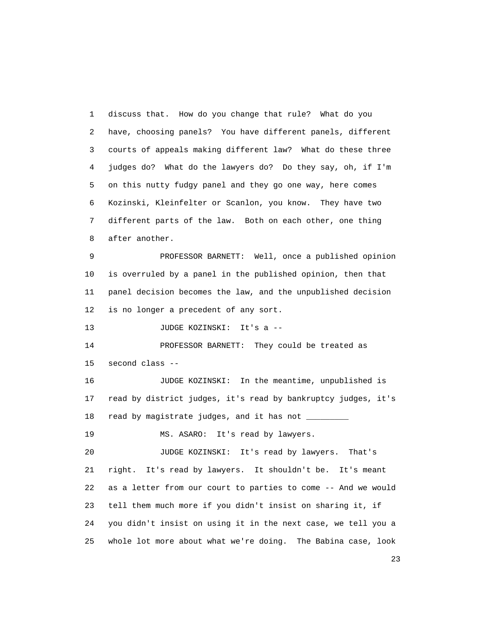1 discuss that. How do you change that rule? What do you 2 have, choosing panels? You have different panels, different 3 courts of appeals making different law? What do these three 4 judges do? What do the lawyers do? Do they say, oh, if I'm 5 on this nutty fudgy panel and they go one way, here comes 6 Kozinski, Kleinfelter or Scanlon, you know. They have two 7 different parts of the law. Both on each other, one thing 8 after another. 9 PROFESSOR BARNETT: Well, once a published opinion 10 is overruled by a panel in the published opinion, then that 11 panel decision becomes the law, and the unpublished decision 12 is no longer a precedent of any sort. 13 JUDGE KOZINSKI: It's a -- 14 PROFESSOR BARNETT: They could be treated as 15 second class -- 16 JUDGE KOZINSKI: In the meantime, unpublished is 17 read by district judges, it's read by bankruptcy judges, it's 18 read by magistrate judges, and it has not \_\_\_\_\_\_\_\_\_\_ 19 MS. ASARO: It's read by lawyers. 20 JUDGE KOZINSKI: It's read by lawyers. That's 21 right. It's read by lawyers. It shouldn't be. It's meant 22 as a letter from our court to parties to come -- And we would 23 tell them much more if you didn't insist on sharing it, if 24 you didn't insist on using it in the next case, we tell you a 25 whole lot more about what we're doing. The Babina case, look

23 and 23 and 23 and 23 and 23 and 23 and 23 and 23 and 23 and 23 and 23 and 23 and 23 and 23 and 23 and 23 and 23 and 24 and 25 and 25 and 26 and 26 and 26 and 26 and 26 and 26 and 26 and 26 and 26 and 26 and 26 and 26 an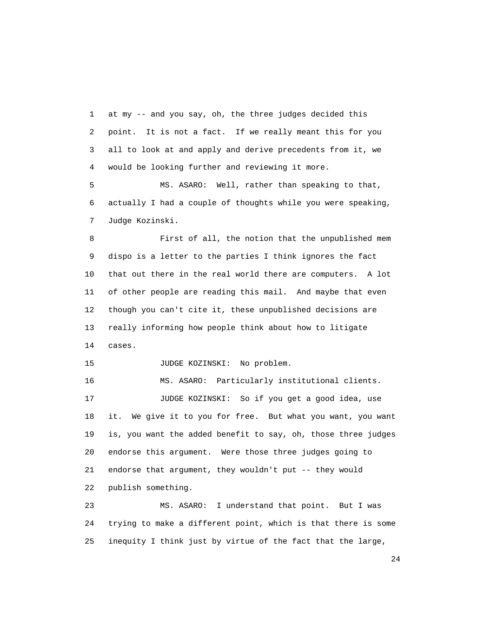1 at my -- and you say, oh, the three judges decided this 2 point. It is not a fact. If we really meant this for you 3 all to look at and apply and derive precedents from it, we 4 would be looking further and reviewing it more.

 5 MS. ASARO: Well, rather than speaking to that, 6 actually I had a couple of thoughts while you were speaking, 7 Judge Kozinski.

 8 First of all, the notion that the unpublished mem 9 dispo is a letter to the parties I think ignores the fact 10 that out there in the real world there are computers. A lot 11 of other people are reading this mail. And maybe that even 12 though you can't cite it, these unpublished decisions are 13 really informing how people think about how to litigate 14 cases.

15 JUDGE KOZINSKI: No problem.

 16 MS. ASARO: Particularly institutional clients. 17 JUDGE KOZINSKI: So if you get a good idea, use 18 it. We give it to you for free. But what you want, you want 19 is, you want the added benefit to say, oh, those three judges 20 endorse this argument. Were those three judges going to 21 endorse that argument, they wouldn't put -- they would 22 publish something.

 23 MS. ASARO: I understand that point. But I was 24 trying to make a different point, which is that there is some 25 inequity I think just by virtue of the fact that the large,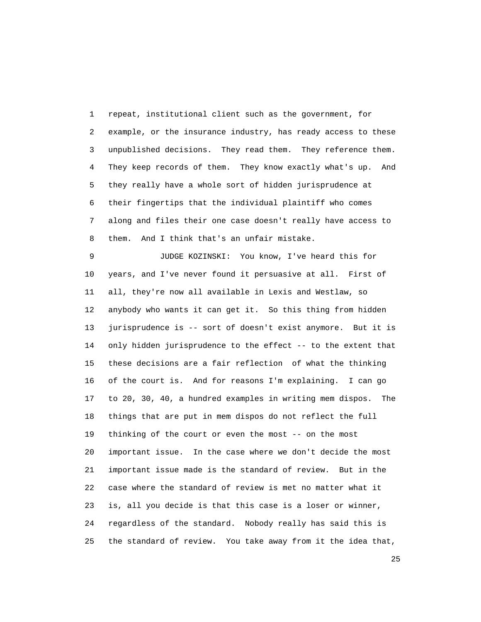1 repeat, institutional client such as the government, for 2 example, or the insurance industry, has ready access to these 3 unpublished decisions. They read them. They reference them. 4 They keep records of them. They know exactly what's up. And 5 they really have a whole sort of hidden jurisprudence at 6 their fingertips that the individual plaintiff who comes 7 along and files their one case doesn't really have access to 8 them. And I think that's an unfair mistake.

 9 JUDGE KOZINSKI: You know, I've heard this for 10 years, and I've never found it persuasive at all. First of 11 all, they're now all available in Lexis and Westlaw, so 12 anybody who wants it can get it. So this thing from hidden 13 jurisprudence is -- sort of doesn't exist anymore. But it is 14 only hidden jurisprudence to the effect -- to the extent that 15 these decisions are a fair reflection of what the thinking 16 of the court is. And for reasons I'm explaining. I can go 17 to 20, 30, 40, a hundred examples in writing mem dispos. The 18 things that are put in mem dispos do not reflect the full 19 thinking of the court or even the most -- on the most 20 important issue. In the case where we don't decide the most 21 important issue made is the standard of review. But in the 22 case where the standard of review is met no matter what it 23 is, all you decide is that this case is a loser or winner, 24 regardless of the standard. Nobody really has said this is 25 the standard of review. You take away from it the idea that,

<u>25</u>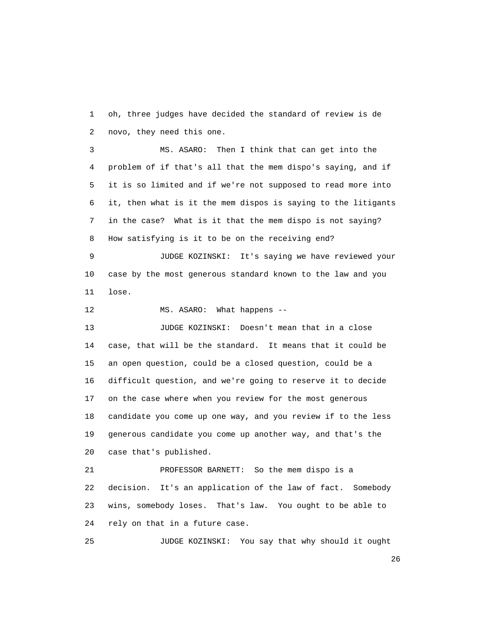1 oh, three judges have decided the standard of review is de 2 novo, they need this one.

 3 MS. ASARO: Then I think that can get into the 4 problem of if that's all that the mem dispo's saying, and if 5 it is so limited and if we're not supposed to read more into 6 it, then what is it the mem dispos is saying to the litigants 7 in the case? What is it that the mem dispo is not saying? 8 How satisfying is it to be on the receiving end?

 9 JUDGE KOZINSKI: It's saying we have reviewed your 10 case by the most generous standard known to the law and you 11 lose.

12 MS. ASARO: What happens --

 13 JUDGE KOZINSKI: Doesn't mean that in a close 14 case, that will be the standard. It means that it could be 15 an open question, could be a closed question, could be a 16 difficult question, and we're going to reserve it to decide 17 on the case where when you review for the most generous 18 candidate you come up one way, and you review if to the less 19 generous candidate you come up another way, and that's the 20 case that's published.

 21 PROFESSOR BARNETT: So the mem dispo is a 22 decision. It's an application of the law of fact. Somebody 23 wins, somebody loses. That's law. You ought to be able to 24 rely on that in a future case.

25 JUDGE KOZINSKI: You say that why should it ought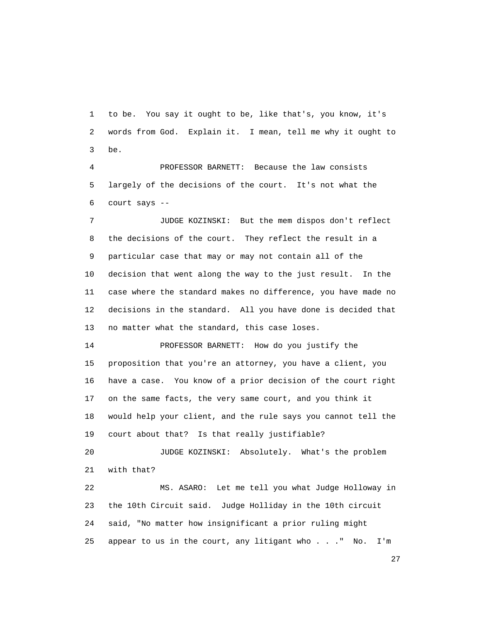1 to be. You say it ought to be, like that's, you know, it's 2 words from God. Explain it. I mean, tell me why it ought to 3 be.

 4 PROFESSOR BARNETT: Because the law consists 5 largely of the decisions of the court. It's not what the 6 court says --

 7 JUDGE KOZINSKI: But the mem dispos don't reflect 8 the decisions of the court. They reflect the result in a 9 particular case that may or may not contain all of the 10 decision that went along the way to the just result. In the 11 case where the standard makes no difference, you have made no 12 decisions in the standard. All you have done is decided that 13 no matter what the standard, this case loses.

 14 PROFESSOR BARNETT: How do you justify the 15 proposition that you're an attorney, you have a client, you 16 have a case. You know of a prior decision of the court right 17 on the same facts, the very same court, and you think it 18 would help your client, and the rule says you cannot tell the 19 court about that? Is that really justifiable?

 20 JUDGE KOZINSKI: Absolutely. What's the problem 21 with that?

 22 MS. ASARO: Let me tell you what Judge Holloway in 23 the 10th Circuit said. Judge Holliday in the 10th circuit 24 said, "No matter how insignificant a prior ruling might 25 appear to us in the court, any litigant who . . ." No. I'm

<u>27</u>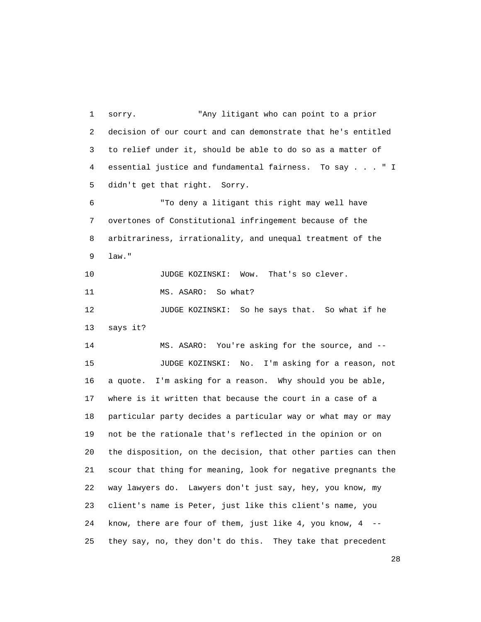1 sorry. "Any litigant who can point to a prior 2 decision of our court and can demonstrate that he's entitled 3 to relief under it, should be able to do so as a matter of 4 essential justice and fundamental fairness. To say . . . " I 5 didn't get that right. Sorry. 6 "To deny a litigant this right may well have 7 overtones of Constitutional infringement because of the 8 arbitrariness, irrationality, and unequal treatment of the 9 law." 10 JUDGE KOZINSKI: Wow. That's so clever. 11 MS. ASARO: So what? 12 JUDGE KOZINSKI: So he says that. So what if he 13 says it? 14 MS. ASARO: You're asking for the source, and -- 15 JUDGE KOZINSKI: No. I'm asking for a reason, not 16 a quote. I'm asking for a reason. Why should you be able, 17 where is it written that because the court in a case of a 18 particular party decides a particular way or what may or may 19 not be the rationale that's reflected in the opinion or on 20 the disposition, on the decision, that other parties can then 21 scour that thing for meaning, look for negative pregnants the 22 way lawyers do. Lawyers don't just say, hey, you know, my 23 client's name is Peter, just like this client's name, you 24 know, there are four of them, just like 4, you know, 4 -- 25 they say, no, they don't do this. They take that precedent

<u>28</u>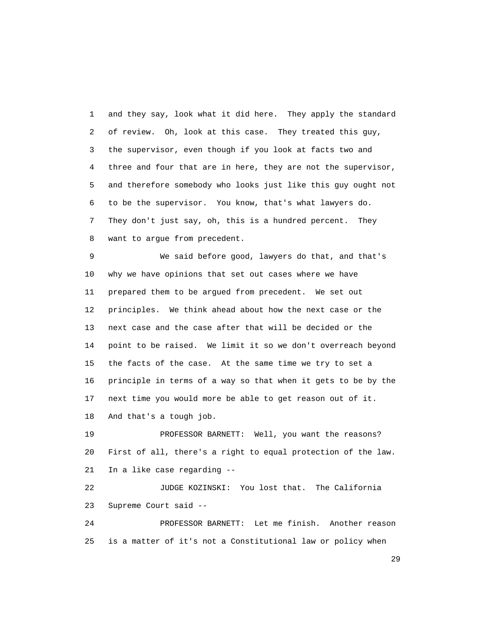1 and they say, look what it did here. They apply the standard 2 of review. Oh, look at this case. They treated this guy, 3 the supervisor, even though if you look at facts two and 4 three and four that are in here, they are not the supervisor, 5 and therefore somebody who looks just like this guy ought not 6 to be the supervisor. You know, that's what lawyers do. 7 They don't just say, oh, this is a hundred percent. They 8 want to argue from precedent.

 9 We said before good, lawyers do that, and that's 10 why we have opinions that set out cases where we have 11 prepared them to be argued from precedent. We set out 12 principles. We think ahead about how the next case or the 13 next case and the case after that will be decided or the 14 point to be raised. We limit it so we don't overreach beyond 15 the facts of the case. At the same time we try to set a 16 principle in terms of a way so that when it gets to be by the 17 next time you would more be able to get reason out of it.

18 And that's a tough job.

 19 PROFESSOR BARNETT: Well, you want the reasons? 20 First of all, there's a right to equal protection of the law. 21 In a like case regarding --

 22 JUDGE KOZINSKI: You lost that. The California 23 Supreme Court said --

 24 PROFESSOR BARNETT: Let me finish. Another reason 25 is a matter of it's not a Constitutional law or policy when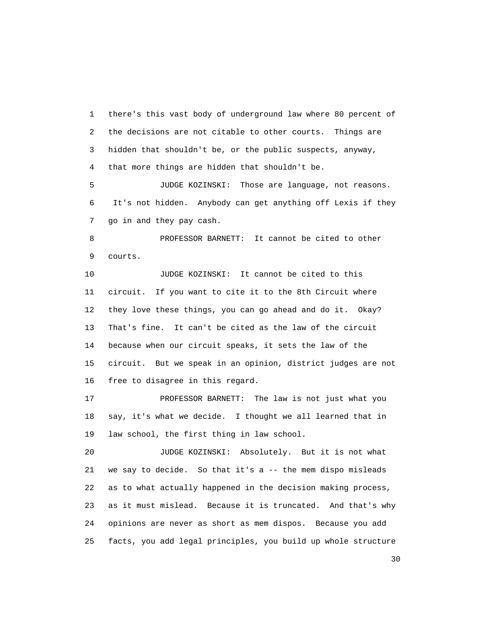1 there's this vast body of underground law where 80 percent of 2 the decisions are not citable to other courts. Things are 3 hidden that shouldn't be, or the public suspects, anyway, 4 that more things are hidden that shouldn't be.

 5 JUDGE KOZINSKI: Those are language, not reasons. 6 It's not hidden. Anybody can get anything off Lexis if they 7 go in and they pay cash.

 8 PROFESSOR BARNETT: It cannot be cited to other 9 courts.

 10 JUDGE KOZINSKI: It cannot be cited to this 11 circuit. If you want to cite it to the 8th Circuit where 12 they love these things, you can go ahead and do it. Okay? 13 That's fine. It can't be cited as the law of the circuit 14 because when our circuit speaks, it sets the law of the 15 circuit. But we speak in an opinion, district judges are not 16 free to disagree in this regard.

 17 PROFESSOR BARNETT: The law is not just what you 18 say, it's what we decide. I thought we all learned that in 19 law school, the first thing in law school.

 20 JUDGE KOZINSKI: Absolutely. But it is not what 21 we say to decide. So that it's a -- the mem dispo misleads 22 as to what actually happened in the decision making process, 23 as it must mislead. Because it is truncated. And that's why 24 opinions are never as short as mem dispos. Because you add 25 facts, you add legal principles, you build up whole structure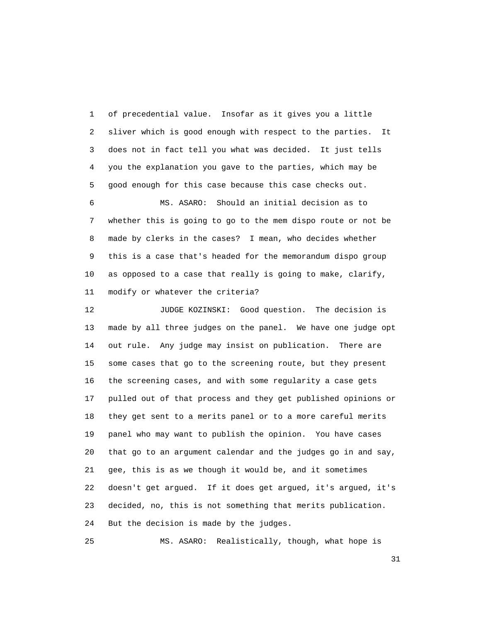1 of precedential value. Insofar as it gives you a little 2 sliver which is good enough with respect to the parties. It 3 does not in fact tell you what was decided. It just tells 4 you the explanation you gave to the parties, which may be 5 good enough for this case because this case checks out.

 6 MS. ASARO: Should an initial decision as to 7 whether this is going to go to the mem dispo route or not be 8 made by clerks in the cases? I mean, who decides whether 9 this is a case that's headed for the memorandum dispo group 10 as opposed to a case that really is going to make, clarify, 11 modify or whatever the criteria?

 12 JUDGE KOZINSKI: Good question. The decision is 13 made by all three judges on the panel. We have one judge opt 14 out rule. Any judge may insist on publication. There are 15 some cases that go to the screening route, but they present 16 the screening cases, and with some regularity a case gets 17 pulled out of that process and they get published opinions or 18 they get sent to a merits panel or to a more careful merits 19 panel who may want to publish the opinion. You have cases 20 that go to an argument calendar and the judges go in and say, 21 gee, this is as we though it would be, and it sometimes 22 doesn't get argued. If it does get argued, it's argued, it's 23 decided, no, this is not something that merits publication. 24 But the decision is made by the judges.

25 MS. ASARO: Realistically, though, what hope is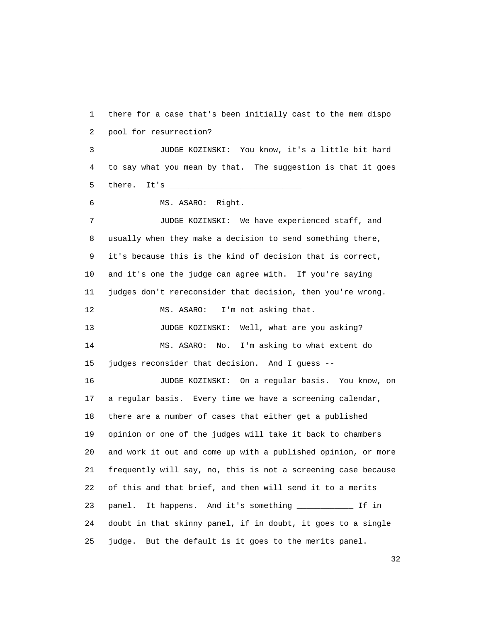1 there for a case that's been initially cast to the mem dispo 2 pool for resurrection? 3 JUDGE KOZINSKI: You know, it's a little bit hard 4 to say what you mean by that. The suggestion is that it goes 5 there. It's \_\_\_\_\_\_\_\_\_\_\_\_\_\_\_\_\_\_\_\_\_\_\_\_\_\_\_\_ 6 MS. ASARO: Right. 7 JUDGE KOZINSKI: We have experienced staff, and 8 usually when they make a decision to send something there, 9 it's because this is the kind of decision that is correct, 10 and it's one the judge can agree with. If you're saying 11 judges don't rereconsider that decision, then you're wrong. 12 MS. ASARO: I'm not asking that. 13 JUDGE KOZINSKI: Well, what are you asking? 14 MS. ASARO: No. I'm asking to what extent do 15 judges reconsider that decision. And I guess -- 16 JUDGE KOZINSKI: On a regular basis. You know, on 17 a regular basis. Every time we have a screening calendar, 18 there are a number of cases that either get a published 19 opinion or one of the judges will take it back to chambers 20 and work it out and come up with a published opinion, or more 21 frequently will say, no, this is not a screening case because 22 of this and that brief, and then will send it to a merits 23 panel. It happens. And it's something \_\_\_\_\_\_\_\_\_\_\_\_ If in 24 doubt in that skinny panel, if in doubt, it goes to a single 25 judge. But the default is it goes to the merits panel.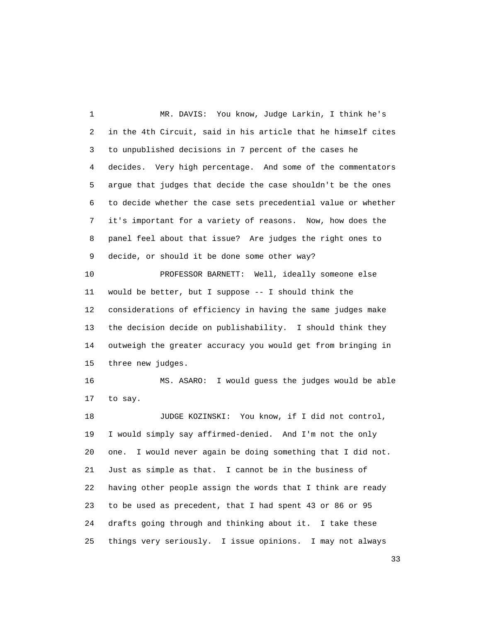1 MR. DAVIS: You know, Judge Larkin, I think he's 2 in the 4th Circuit, said in his article that he himself cites 3 to unpublished decisions in 7 percent of the cases he 4 decides. Very high percentage. And some of the commentators 5 argue that judges that decide the case shouldn't be the ones 6 to decide whether the case sets precedential value or whether 7 it's important for a variety of reasons. Now, how does the 8 panel feel about that issue? Are judges the right ones to 9 decide, or should it be done some other way?

 10 PROFESSOR BARNETT: Well, ideally someone else 11 would be better, but I suppose -- I should think the 12 considerations of efficiency in having the same judges make 13 the decision decide on publishability. I should think they 14 outweigh the greater accuracy you would get from bringing in 15 three new judges.

 16 MS. ASARO: I would guess the judges would be able 17 to say.

 18 JUDGE KOZINSKI: You know, if I did not control, 19 I would simply say affirmed-denied. And I'm not the only 20 one. I would never again be doing something that I did not. 21 Just as simple as that. I cannot be in the business of 22 having other people assign the words that I think are ready 23 to be used as precedent, that I had spent 43 or 86 or 95 24 drafts going through and thinking about it. I take these 25 things very seriously. I issue opinions. I may not always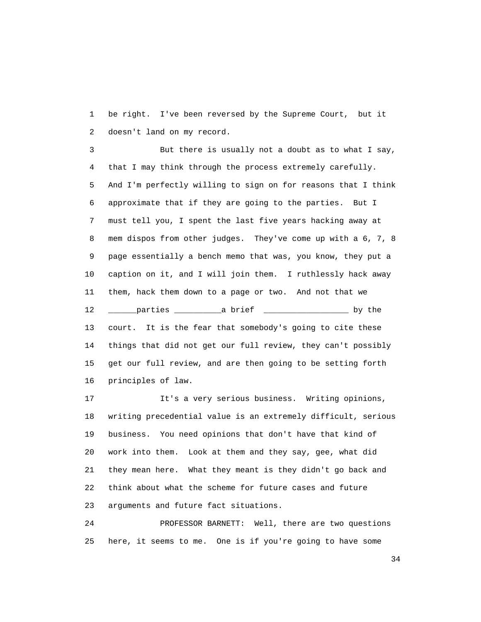1 be right. I've been reversed by the Supreme Court, but it 2 doesn't land on my record.

 3 But there is usually not a doubt as to what I say, 4 that I may think through the process extremely carefully. 5 And I'm perfectly willing to sign on for reasons that I think 6 approximate that if they are going to the parties. But I 7 must tell you, I spent the last five years hacking away at 8 mem dispos from other judges. They've come up with a 6, 7, 8 9 page essentially a bench memo that was, you know, they put a 10 caption on it, and I will join them. I ruthlessly hack away 11 them, hack them down to a page or two. And not that we 12 \_\_\_\_\_\_parties \_\_\_\_\_\_\_\_\_\_a brief \_\_\_\_\_\_\_\_\_\_\_\_\_\_\_\_\_\_ by the 13 court. It is the fear that somebody's going to cite these 14 things that did not get our full review, they can't possibly 15 get our full review, and are then going to be setting forth 16 principles of law.

 17 It's a very serious business. Writing opinions, 18 writing precedential value is an extremely difficult, serious 19 business. You need opinions that don't have that kind of 20 work into them. Look at them and they say, gee, what did 21 they mean here. What they meant is they didn't go back and 22 think about what the scheme for future cases and future 23 arguments and future fact situations.

 24 PROFESSOR BARNETT: Well, there are two questions 25 here, it seems to me. One is if you're going to have some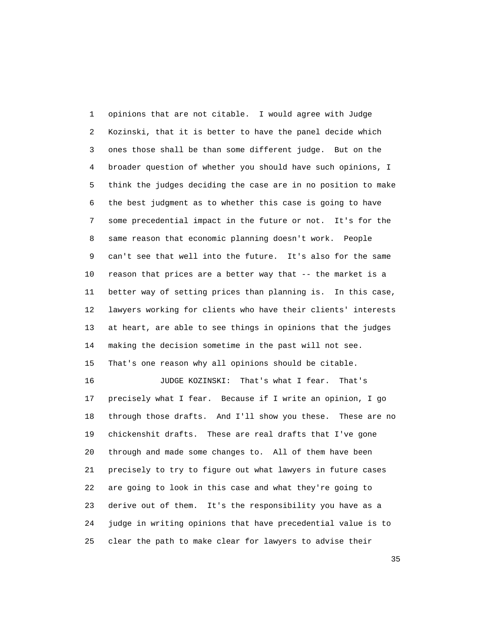1 opinions that are not citable. I would agree with Judge 2 Kozinski, that it is better to have the panel decide which 3 ones those shall be than some different judge. But on the 4 broader question of whether you should have such opinions, I 5 think the judges deciding the case are in no position to make 6 the best judgment as to whether this case is going to have 7 some precedential impact in the future or not. It's for the 8 same reason that economic planning doesn't work. People 9 can't see that well into the future. It's also for the same 10 reason that prices are a better way that -- the market is a 11 better way of setting prices than planning is. In this case, 12 lawyers working for clients who have their clients' interests 13 at heart, are able to see things in opinions that the judges 14 making the decision sometime in the past will not see. 15 That's one reason why all opinions should be citable. 16 JUDGE KOZINSKI: That's what I fear. That's

 17 precisely what I fear. Because if I write an opinion, I go 18 through those drafts. And I'll show you these. These are no 19 chickenshit drafts. These are real drafts that I've gone 20 through and made some changes to. All of them have been 21 precisely to try to figure out what lawyers in future cases 22 are going to look in this case and what they're going to 23 derive out of them. It's the responsibility you have as a 24 judge in writing opinions that have precedential value is to 25 clear the path to make clear for lawyers to advise their

<u>35</u>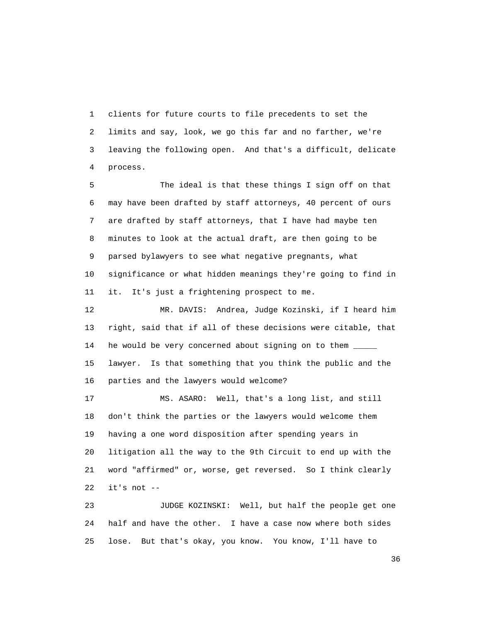1 clients for future courts to file precedents to set the 2 limits and say, look, we go this far and no farther, we're 3 leaving the following open. And that's a difficult, delicate 4 process.

 5 The ideal is that these things I sign off on that 6 may have been drafted by staff attorneys, 40 percent of ours 7 are drafted by staff attorneys, that I have had maybe ten 8 minutes to look at the actual draft, are then going to be 9 parsed bylawyers to see what negative pregnants, what 10 significance or what hidden meanings they're going to find in 11 it. It's just a frightening prospect to me.

 12 MR. DAVIS: Andrea, Judge Kozinski, if I heard him 13 right, said that if all of these decisions were citable, that 14 he would be very concerned about signing on to them \_\_\_\_\_ 15 lawyer. Is that something that you think the public and the 16 parties and the lawyers would welcome?

 17 MS. ASARO: Well, that's a long list, and still 18 don't think the parties or the lawyers would welcome them 19 having a one word disposition after spending years in 20 litigation all the way to the 9th Circuit to end up with the 21 word "affirmed" or, worse, get reversed. So I think clearly 22 it's not --

 23 JUDGE KOZINSKI: Well, but half the people get one 24 half and have the other. I have a case now where both sides 25 lose. But that's okay, you know. You know, I'll have to

 $36<sup>2</sup>$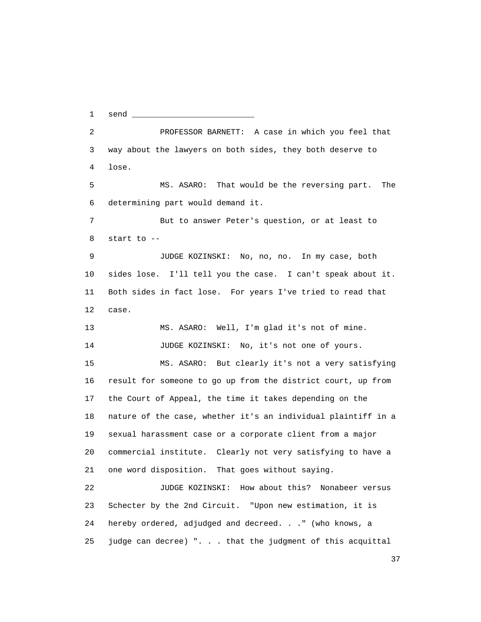1 send \_\_\_\_\_\_\_\_\_\_\_\_\_\_\_\_\_\_\_\_\_\_\_\_\_\_ 2 PROFESSOR BARNETT: A case in which you feel that 3 way about the lawyers on both sides, they both deserve to 4 lose. 5 MS. ASARO: That would be the reversing part. The 6 determining part would demand it. 7 But to answer Peter's question, or at least to 8 start to -- 9 JUDGE KOZINSKI: No, no, no. In my case, both 10 sides lose. I'll tell you the case. I can't speak about it. 11 Both sides in fact lose. For years I've tried to read that 12 case. 13 MS. ASARO: Well, I'm glad it's not of mine. 14 JUDGE KOZINSKI: No, it's not one of yours. 15 MS. ASARO: But clearly it's not a very satisfying 16 result for someone to go up from the district court, up from 17 the Court of Appeal, the time it takes depending on the 18 nature of the case, whether it's an individual plaintiff in a 19 sexual harassment case or a corporate client from a major 20 commercial institute. Clearly not very satisfying to have a 21 one word disposition. That goes without saying. 22 JUDGE KOZINSKI: How about this? Nonabeer versus 23 Schecter by the 2nd Circuit. "Upon new estimation, it is 24 hereby ordered, adjudged and decreed. . ." (who knows, a 25 judge can decree) ". . . that the judgment of this acquittal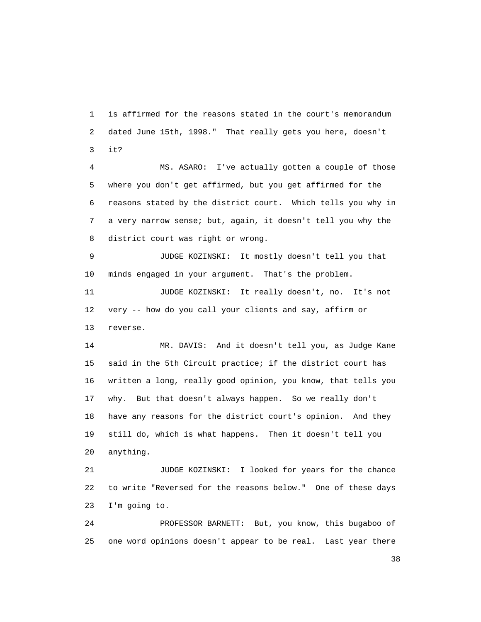1 is affirmed for the reasons stated in the court's memorandum 2 dated June 15th, 1998." That really gets you here, doesn't 3 it?

 4 MS. ASARO: I've actually gotten a couple of those 5 where you don't get affirmed, but you get affirmed for the 6 reasons stated by the district court. Which tells you why in 7 a very narrow sense; but, again, it doesn't tell you why the 8 district court was right or wrong.

 9 JUDGE KOZINSKI: It mostly doesn't tell you that 10 minds engaged in your argument. That's the problem.

 11 JUDGE KOZINSKI: It really doesn't, no. It's not 12 very -- how do you call your clients and say, affirm or 13 reverse.

 14 MR. DAVIS: And it doesn't tell you, as Judge Kane 15 said in the 5th Circuit practice; if the district court has 16 written a long, really good opinion, you know, that tells you 17 why. But that doesn't always happen. So we really don't 18 have any reasons for the district court's opinion. And they 19 still do, which is what happens. Then it doesn't tell you 20 anything.

 21 JUDGE KOZINSKI: I looked for years for the chance 22 to write "Reversed for the reasons below." One of these days 23 I'm going to.

 24 PROFESSOR BARNETT: But, you know, this bugaboo of 25 one word opinions doesn't appear to be real. Last year there

and the state of the state of the state of the state of the state of the state of the state of the state of the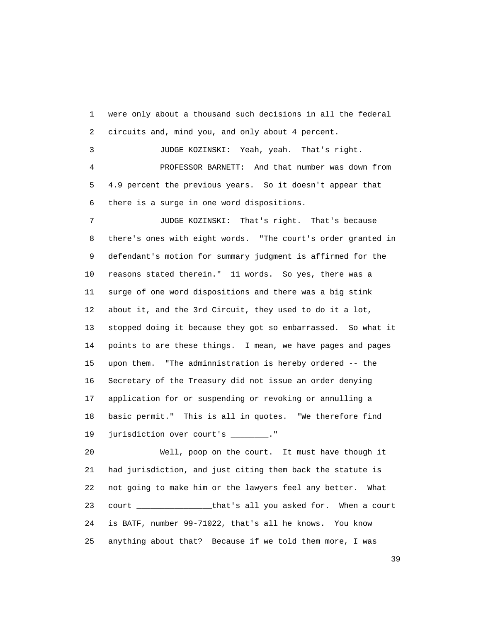1 were only about a thousand such decisions in all the federal 2 circuits and, mind you, and only about 4 percent. 3 JUDGE KOZINSKI: Yeah, yeah. That's right. 4 PROFESSOR BARNETT: And that number was down from

 5 4.9 percent the previous years. So it doesn't appear that 6 there is a surge in one word dispositions.

 7 JUDGE KOZINSKI: That's right. That's because 8 there's ones with eight words. "The court's order granted in 9 defendant's motion for summary judgment is affirmed for the 10 reasons stated therein." 11 words. So yes, there was a 11 surge of one word dispositions and there was a big stink 12 about it, and the 3rd Circuit, they used to do it a lot, 13 stopped doing it because they got so embarrassed. So what it 14 points to are these things. I mean, we have pages and pages 15 upon them. "The adminnistration is hereby ordered -- the 16 Secretary of the Treasury did not issue an order denying 17 application for or suspending or revoking or annulling a 18 basic permit." This is all in quotes. "We therefore find 19 jurisdiction over court's \_\_\_\_\_\_\_."

 20 Well, poop on the court. It must have though it 21 had jurisdiction, and just citing them back the statute is 22 not going to make him or the lawyers feel any better. What 23 court \_\_\_\_\_\_\_\_\_\_\_\_\_\_\_\_that's all you asked for. When a court 24 is BATF, number 99-71022, that's all he knows. You know 25 anything about that? Because if we told them more, I was

<u>39</u>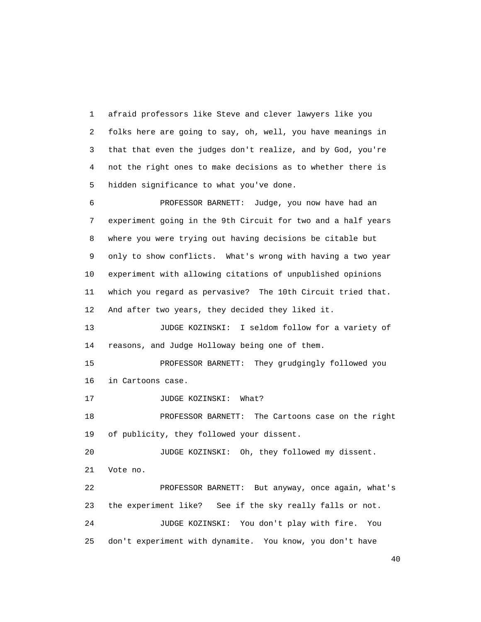1 afraid professors like Steve and clever lawyers like you 2 folks here are going to say, oh, well, you have meanings in 3 that that even the judges don't realize, and by God, you're 4 not the right ones to make decisions as to whether there is 5 hidden significance to what you've done.

 6 PROFESSOR BARNETT: Judge, you now have had an 7 experiment going in the 9th Circuit for two and a half years 8 where you were trying out having decisions be citable but 9 only to show conflicts. What's wrong with having a two year 10 experiment with allowing citations of unpublished opinions 11 which you regard as pervasive? The 10th Circuit tried that. 12 And after two years, they decided they liked it.

 13 JUDGE KOZINSKI: I seldom follow for a variety of 14 reasons, and Judge Holloway being one of them.

 15 PROFESSOR BARNETT: They grudgingly followed you 16 in Cartoons case.

17 JUDGE KOZINSKI: What?

 18 PROFESSOR BARNETT: The Cartoons case on the right 19 of publicity, they followed your dissent.

 20 JUDGE KOZINSKI: Oh, they followed my dissent. 21 Vote no.

 22 PROFESSOR BARNETT: But anyway, once again, what's 23 the experiment like? See if the sky really falls or not. 24 JUDGE KOZINSKI: You don't play with fire. You 25 don't experiment with dynamite. You know, you don't have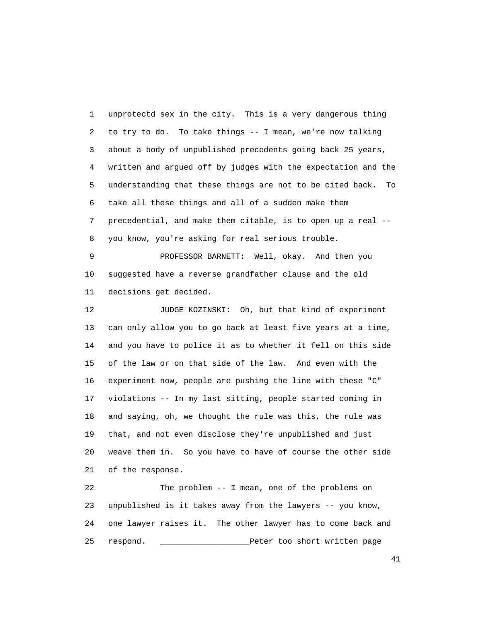1 unprotectd sex in the city. This is a very dangerous thing 2 to try to do. To take things -- I mean, we're now talking 3 about a body of unpublished precedents going back 25 years, 4 written and argued off by judges with the expectation and the 5 understanding that these things are not to be cited back. To 6 take all these things and all of a sudden make them 7 precedential, and make them citable, is to open up a real -- 8 you know, you're asking for real serious trouble.

 9 PROFESSOR BARNETT: Well, okay. And then you 10 suggested have a reverse grandfather clause and the old 11 decisions get decided.

 12 JUDGE KOZINSKI: Oh, but that kind of experiment 13 can only allow you to go back at least five years at a time, 14 and you have to police it as to whether it fell on this side 15 of the law or on that side of the law. And even with the 16 experiment now, people are pushing the line with these "C" 17 violations -- In my last sitting, people started coming in 18 and saying, oh, we thought the rule was this, the rule was 19 that, and not even disclose they're unpublished and just 20 weave them in. So you have to have of course the other side 21 of the response.

 22 The problem -- I mean, one of the problems on 23 unpublished is it takes away from the lawyers -- you know, 24 one lawyer raises it. The other lawyer has to come back and 25 respond. \_\_\_\_\_\_\_\_\_\_\_\_\_\_\_\_\_\_\_Peter too short written page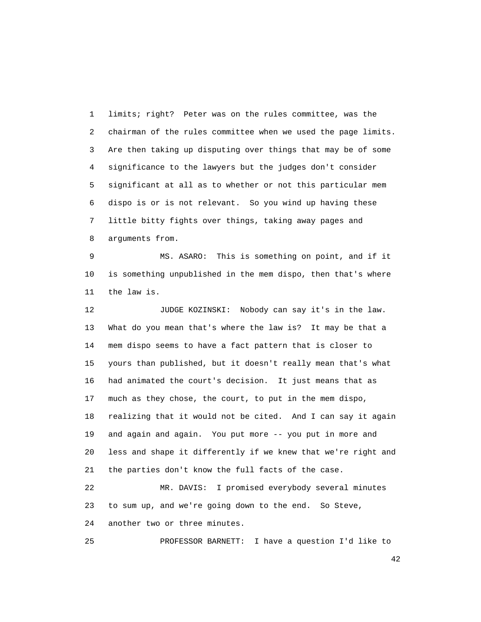1 limits; right? Peter was on the rules committee, was the 2 chairman of the rules committee when we used the page limits. 3 Are then taking up disputing over things that may be of some 4 significance to the lawyers but the judges don't consider 5 significant at all as to whether or not this particular mem 6 dispo is or is not relevant. So you wind up having these 7 little bitty fights over things, taking away pages and 8 arguments from.

 9 MS. ASARO: This is something on point, and if it 10 is something unpublished in the mem dispo, then that's where 11 the law is.

 12 JUDGE KOZINSKI: Nobody can say it's in the law. 13 What do you mean that's where the law is? It may be that a 14 mem dispo seems to have a fact pattern that is closer to 15 yours than published, but it doesn't really mean that's what 16 had animated the court's decision. It just means that as 17 much as they chose, the court, to put in the mem dispo, 18 realizing that it would not be cited. And I can say it again 19 and again and again. You put more -- you put in more and 20 less and shape it differently if we knew that we're right and 21 the parties don't know the full facts of the case.

 22 MR. DAVIS: I promised everybody several minutes 23 to sum up, and we're going down to the end. So Steve, 24 another two or three minutes.

25 PROFESSOR BARNETT: I have a question I'd like to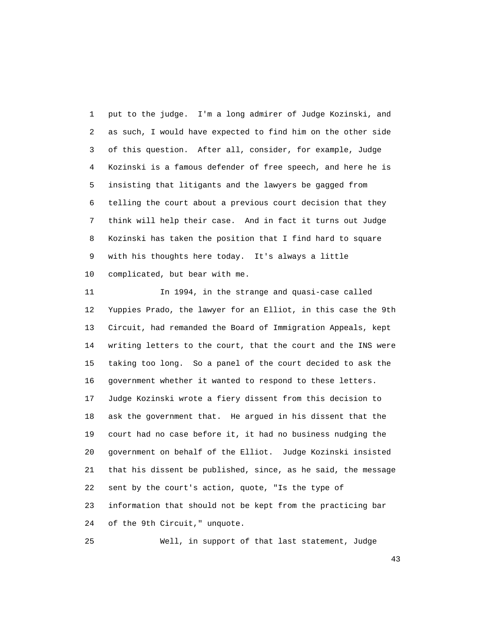1 put to the judge. I'm a long admirer of Judge Kozinski, and 2 as such, I would have expected to find him on the other side 3 of this question. After all, consider, for example, Judge 4 Kozinski is a famous defender of free speech, and here he is 5 insisting that litigants and the lawyers be gagged from 6 telling the court about a previous court decision that they 7 think will help their case. And in fact it turns out Judge 8 Kozinski has taken the position that I find hard to square 9 with his thoughts here today. It's always a little 10 complicated, but bear with me.

 11 In 1994, in the strange and quasi-case called 12 Yuppies Prado, the lawyer for an Elliot, in this case the 9th 13 Circuit, had remanded the Board of Immigration Appeals, kept 14 writing letters to the court, that the court and the INS were 15 taking too long. So a panel of the court decided to ask the 16 government whether it wanted to respond to these letters. 17 Judge Kozinski wrote a fiery dissent from this decision to 18 ask the government that. He argued in his dissent that the 19 court had no case before it, it had no business nudging the 20 government on behalf of the Elliot. Judge Kozinski insisted 21 that his dissent be published, since, as he said, the message 22 sent by the court's action, quote, "Is the type of 23 information that should not be kept from the practicing bar 24 of the 9th Circuit," unquote.

25 Well, in support of that last statement, Judge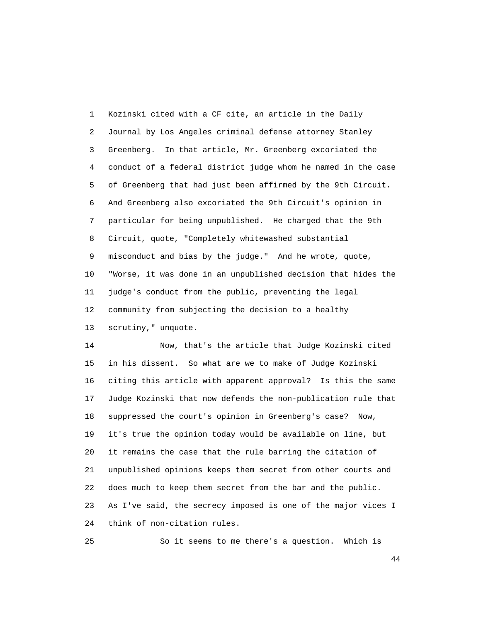1 Kozinski cited with a CF cite, an article in the Daily 2 Journal by Los Angeles criminal defense attorney Stanley 3 Greenberg. In that article, Mr. Greenberg excoriated the 4 conduct of a federal district judge whom he named in the case 5 of Greenberg that had just been affirmed by the 9th Circuit. 6 And Greenberg also excoriated the 9th Circuit's opinion in 7 particular for being unpublished. He charged that the 9th 8 Circuit, quote, "Completely whitewashed substantial 9 misconduct and bias by the judge." And he wrote, quote, 10 "Worse, it was done in an unpublished decision that hides the 11 judge's conduct from the public, preventing the legal 12 community from subjecting the decision to a healthy 13 scrutiny," unquote.

 14 Now, that's the article that Judge Kozinski cited 15 in his dissent. So what are we to make of Judge Kozinski 16 citing this article with apparent approval? Is this the same 17 Judge Kozinski that now defends the non-publication rule that 18 suppressed the court's opinion in Greenberg's case? Now, 19 it's true the opinion today would be available on line, but 20 it remains the case that the rule barring the citation of 21 unpublished opinions keeps them secret from other courts and 22 does much to keep them secret from the bar and the public. 23 As I've said, the secrecy imposed is one of the major vices I 24 think of non-citation rules.

25 So it seems to me there's a question. Which is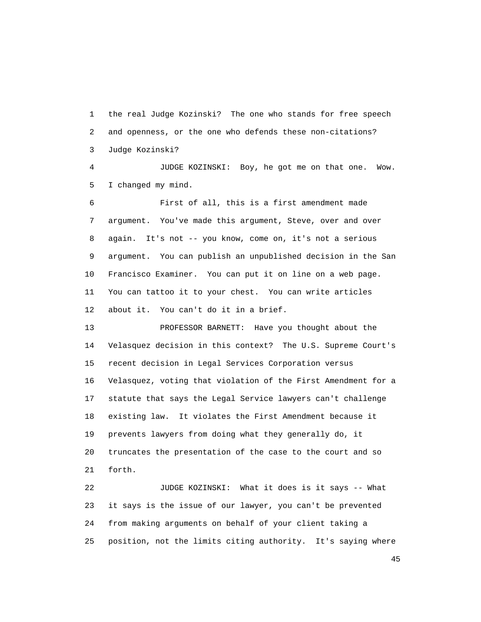1 the real Judge Kozinski? The one who stands for free speech 2 and openness, or the one who defends these non-citations? 3 Judge Kozinski?

 4 JUDGE KOZINSKI: Boy, he got me on that one. Wow. 5 I changed my mind.

 6 First of all, this is a first amendment made 7 argument. You've made this argument, Steve, over and over 8 again. It's not -- you know, come on, it's not a serious 9 argument. You can publish an unpublished decision in the San 10 Francisco Examiner. You can put it on line on a web page. 11 You can tattoo it to your chest. You can write articles 12 about it. You can't do it in a brief.

 13 PROFESSOR BARNETT: Have you thought about the 14 Velasquez decision in this context? The U.S. Supreme Court's 15 recent decision in Legal Services Corporation versus 16 Velasquez, voting that violation of the First Amendment for a 17 statute that says the Legal Service lawyers can't challenge 18 existing law. It violates the First Amendment because it 19 prevents lawyers from doing what they generally do, it 20 truncates the presentation of the case to the court and so 21 forth.

 22 JUDGE KOZINSKI: What it does is it says -- What 23 it says is the issue of our lawyer, you can't be prevented 24 from making arguments on behalf of your client taking a 25 position, not the limits citing authority. It's saying where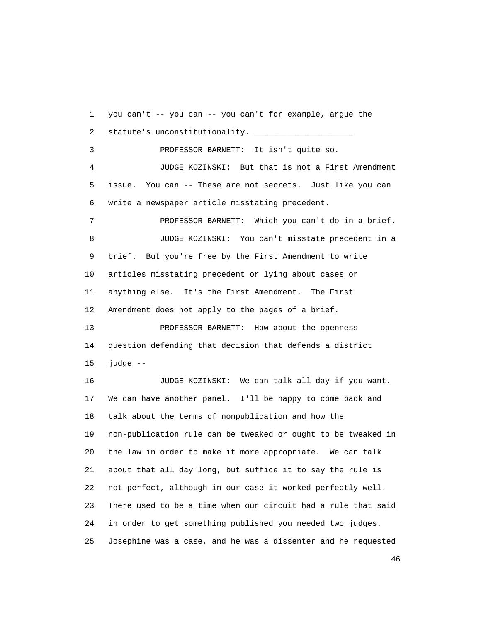1 you can't -- you can -- you can't for example, argue the 2 statute's unconstitutionality. \_\_\_\_\_\_\_\_\_\_\_\_\_\_\_\_\_\_\_\_\_ 3 PROFESSOR BARNETT: It isn't quite so. 4 JUDGE KOZINSKI: But that is not a First Amendment 5 issue. You can -- These are not secrets. Just like you can 6 write a newspaper article misstating precedent. 7 PROFESSOR BARNETT: Which you can't do in a brief. 8 JUDGE KOZINSKI: You can't misstate precedent in a 9 brief. But you're free by the First Amendment to write 10 articles misstating precedent or lying about cases or 11 anything else. It's the First Amendment. The First 12 Amendment does not apply to the pages of a brief. 13 PROFESSOR BARNETT: How about the openness 14 question defending that decision that defends a district 15 judge -- 16 JUDGE KOZINSKI: We can talk all day if you want. 17 We can have another panel. I'll be happy to come back and 18 talk about the terms of nonpublication and how the 19 non-publication rule can be tweaked or ought to be tweaked in 20 the law in order to make it more appropriate. We can talk 21 about that all day long, but suffice it to say the rule is 22 not perfect, although in our case it worked perfectly well. 23 There used to be a time when our circuit had a rule that said 24 in order to get something published you needed two judges. 25 Josephine was a case, and he was a dissenter and he requested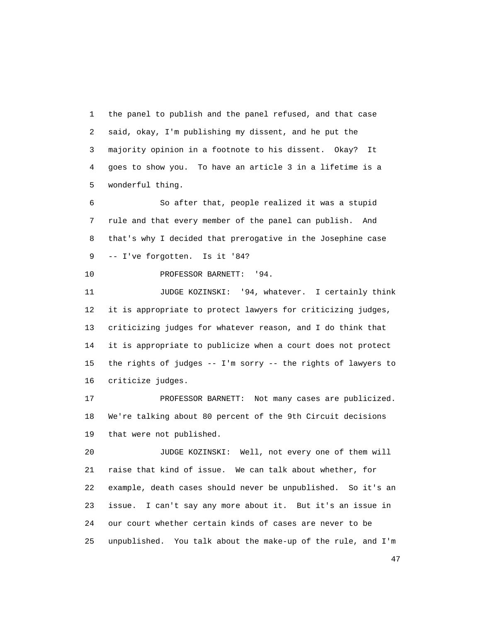1 the panel to publish and the panel refused, and that case 2 said, okay, I'm publishing my dissent, and he put the 3 majority opinion in a footnote to his dissent. Okay? It 4 goes to show you. To have an article 3 in a lifetime is a 5 wonderful thing.

 6 So after that, people realized it was a stupid 7 rule and that every member of the panel can publish. And 8 that's why I decided that prerogative in the Josephine case 9 -- I've forgotten. Is it '84?

10 PROFESSOR BARNETT: '94.

11 JUDGE KOZINSKI: '94, whatever. I certainly think 12 it is appropriate to protect lawyers for criticizing judges, 13 criticizing judges for whatever reason, and I do think that 14 it is appropriate to publicize when a court does not protect 15 the rights of judges -- I'm sorry -- the rights of lawyers to 16 criticize judges.

 17 PROFESSOR BARNETT: Not many cases are publicized. 18 We're talking about 80 percent of the 9th Circuit decisions 19 that were not published.

 20 JUDGE KOZINSKI: Well, not every one of them will 21 raise that kind of issue. We can talk about whether, for 22 example, death cases should never be unpublished. So it's an 23 issue. I can't say any more about it. But it's an issue in 24 our court whether certain kinds of cases are never to be 25 unpublished. You talk about the make-up of the rule, and I'm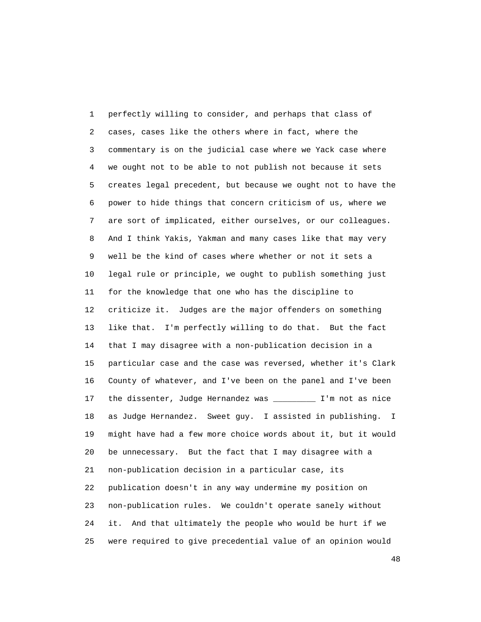1 perfectly willing to consider, and perhaps that class of 2 cases, cases like the others where in fact, where the 3 commentary is on the judicial case where we Yack case where 4 we ought not to be able to not publish not because it sets 5 creates legal precedent, but because we ought not to have the 6 power to hide things that concern criticism of us, where we 7 are sort of implicated, either ourselves, or our colleagues. 8 And I think Yakis, Yakman and many cases like that may very 9 well be the kind of cases where whether or not it sets a 10 legal rule or principle, we ought to publish something just 11 for the knowledge that one who has the discipline to 12 criticize it. Judges are the major offenders on something 13 like that. I'm perfectly willing to do that. But the fact 14 that I may disagree with a non-publication decision in a 15 particular case and the case was reversed, whether it's Clark 16 County of whatever, and I've been on the panel and I've been 17 the dissenter, Judge Hernandez was \_\_\_\_\_\_\_\_\_ I'm not as nice 18 as Judge Hernandez. Sweet guy. I assisted in publishing. I 19 might have had a few more choice words about it, but it would 20 be unnecessary. But the fact that I may disagree with a 21 non-publication decision in a particular case, its 22 publication doesn't in any way undermine my position on 23 non-publication rules. We couldn't operate sanely without 24 it. And that ultimately the people who would be hurt if we 25 were required to give precedential value of an opinion would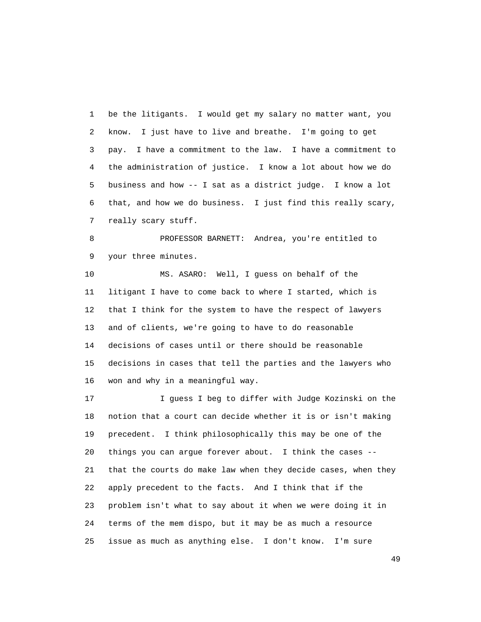1 be the litigants. I would get my salary no matter want, you 2 know. I just have to live and breathe. I'm going to get 3 pay. I have a commitment to the law. I have a commitment to 4 the administration of justice. I know a lot about how we do 5 business and how -- I sat as a district judge. I know a lot 6 that, and how we do business. I just find this really scary, 7 really scary stuff.

 8 PROFESSOR BARNETT: Andrea, you're entitled to 9 your three minutes.

 10 MS. ASARO: Well, I guess on behalf of the 11 litigant I have to come back to where I started, which is 12 that I think for the system to have the respect of lawyers 13 and of clients, we're going to have to do reasonable 14 decisions of cases until or there should be reasonable 15 decisions in cases that tell the parties and the lawyers who 16 won and why in a meaningful way.

 17 I guess I beg to differ with Judge Kozinski on the 18 notion that a court can decide whether it is or isn't making 19 precedent. I think philosophically this may be one of the 20 things you can argue forever about. I think the cases -- 21 that the courts do make law when they decide cases, when they 22 apply precedent to the facts. And I think that if the 23 problem isn't what to say about it when we were doing it in 24 terms of the mem dispo, but it may be as much a resource 25 issue as much as anything else. I don't know. I'm sure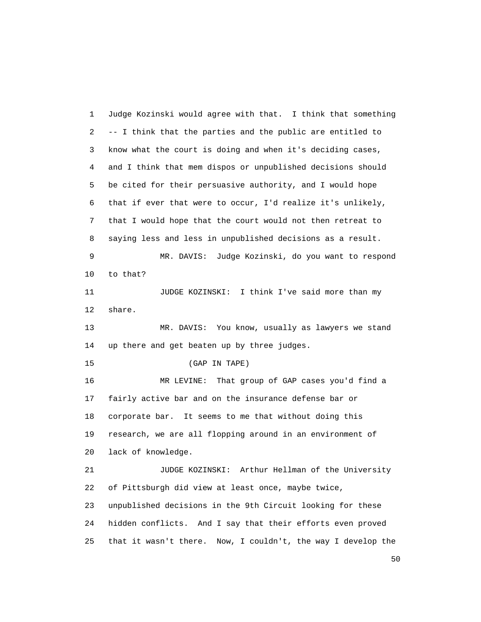1 Judge Kozinski would agree with that. I think that something 2 -- I think that the parties and the public are entitled to 3 know what the court is doing and when it's deciding cases, 4 and I think that mem dispos or unpublished decisions should 5 be cited for their persuasive authority, and I would hope 6 that if ever that were to occur, I'd realize it's unlikely, 7 that I would hope that the court would not then retreat to 8 saying less and less in unpublished decisions as a result. 9 MR. DAVIS: Judge Kozinski, do you want to respond 10 to that? 11 JUDGE KOZINSKI: I think I've said more than my 12 share. 13 MR. DAVIS: You know, usually as lawyers we stand 14 up there and get beaten up by three judges. 15 (GAP IN TAPE) 16 MR LEVINE: That group of GAP cases you'd find a 17 fairly active bar and on the insurance defense bar or 18 corporate bar. It seems to me that without doing this 19 research, we are all flopping around in an environment of 20 lack of knowledge. 21 JUDGE KOZINSKI: Arthur Hellman of the University 22 of Pittsburgh did view at least once, maybe twice, 23 unpublished decisions in the 9th Circuit looking for these 24 hidden conflicts. And I say that their efforts even proved 25 that it wasn't there. Now, I couldn't, the way I develop the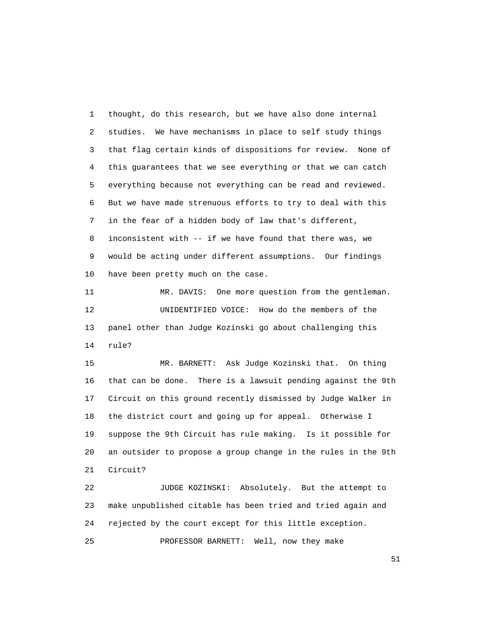1 thought, do this research, but we have also done internal 2 studies. We have mechanisms in place to self study things 3 that flag certain kinds of dispositions for review. None of 4 this guarantees that we see everything or that we can catch 5 everything because not everything can be read and reviewed. 6 But we have made strenuous efforts to try to deal with this 7 in the fear of a hidden body of law that's different, 8 inconsistent with -- if we have found that there was, we 9 would be acting under different assumptions. Our findings 10 have been pretty much on the case.

 11 MR. DAVIS: One more question from the gentleman. 12 UNIDENTIFIED VOICE: How do the members of the 13 panel other than Judge Kozinski go about challenging this 14 rule?

 15 MR. BARNETT: Ask Judge Kozinski that. On thing 16 that can be done. There is a lawsuit pending against the 9th 17 Circuit on this ground recently dismissed by Judge Walker in 18 the district court and going up for appeal. Otherwise I 19 suppose the 9th Circuit has rule making. Is it possible for 20 an outsider to propose a group change in the rules in the 9th 21 Circuit?

 22 JUDGE KOZINSKI: Absolutely. But the attempt to 23 make unpublished citable has been tried and tried again and 24 rejected by the court except for this little exception.

25 PROFESSOR BARNETT: Well, now they make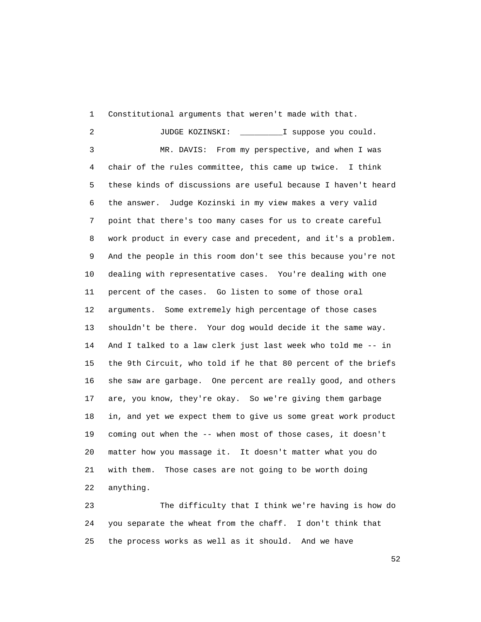1 Constitutional arguments that weren't made with that.

 2 JUDGE KOZINSKI: \_\_\_\_\_\_\_\_\_I suppose you could. 3 MR. DAVIS: From my perspective, and when I was 4 chair of the rules committee, this came up twice. I think 5 these kinds of discussions are useful because I haven't heard 6 the answer. Judge Kozinski in my view makes a very valid 7 point that there's too many cases for us to create careful 8 work product in every case and precedent, and it's a problem. 9 And the people in this room don't see this because you're not 10 dealing with representative cases. You're dealing with one 11 percent of the cases. Go listen to some of those oral 12 arguments. Some extremely high percentage of those cases 13 shouldn't be there. Your dog would decide it the same way. 14 And I talked to a law clerk just last week who told me -- in 15 the 9th Circuit, who told if he that 80 percent of the briefs 16 she saw are garbage. One percent are really good, and others 17 are, you know, they're okay. So we're giving them garbage 18 in, and yet we expect them to give us some great work product 19 coming out when the -- when most of those cases, it doesn't 20 matter how you massage it. It doesn't matter what you do 21 with them. Those cases are not going to be worth doing 22 anything.

 23 The difficulty that I think we're having is how do 24 you separate the wheat from the chaff. I don't think that 25 the process works as well as it should. And we have

 $\sim$  52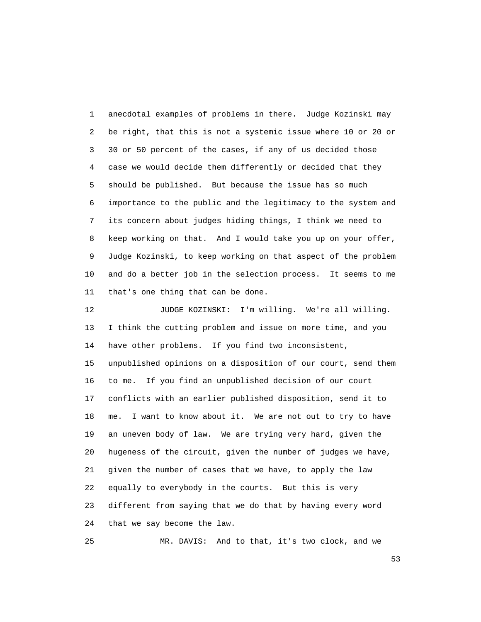1 anecdotal examples of problems in there. Judge Kozinski may 2 be right, that this is not a systemic issue where 10 or 20 or 3 30 or 50 percent of the cases, if any of us decided those 4 case we would decide them differently or decided that they 5 should be published. But because the issue has so much 6 importance to the public and the legitimacy to the system and 7 its concern about judges hiding things, I think we need to 8 keep working on that. And I would take you up on your offer, 9 Judge Kozinski, to keep working on that aspect of the problem 10 and do a better job in the selection process. It seems to me 11 that's one thing that can be done.

 12 JUDGE KOZINSKI: I'm willing. We're all willing. 13 I think the cutting problem and issue on more time, and you 14 have other problems. If you find two inconsistent, 15 unpublished opinions on a disposition of our court, send them 16 to me. If you find an unpublished decision of our court 17 conflicts with an earlier published disposition, send it to 18 me. I want to know about it. We are not out to try to have 19 an uneven body of law. We are trying very hard, given the 20 hugeness of the circuit, given the number of judges we have, 21 given the number of cases that we have, to apply the law 22 equally to everybody in the courts. But this is very 23 different from saying that we do that by having every word 24 that we say become the law.

25 MR. DAVIS: And to that, it's two clock, and we

 $\sim$  53